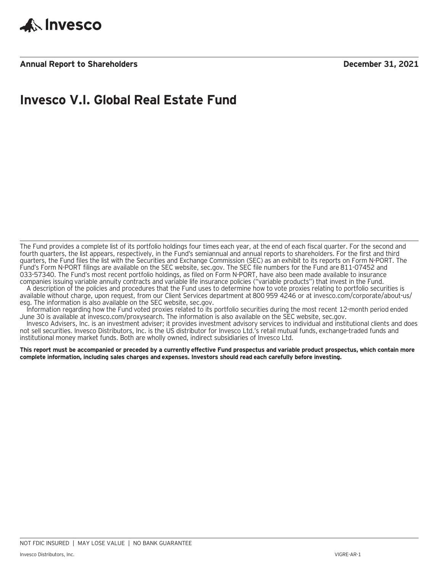

**Annual Report to Shareholders December 31, 2021**

### **Invesco V.I. Global Real Estate Fund**

The Fund provides a complete list of its portfolio holdings four times each year, at the end of each fiscal quarter. For the second and fourth quarters, the list appears, respectively, in the Fund's semiannual and annual reports to shareholders. For the first and third quarters, the Fund files the list with the Securities and Exchange Commission (SEC) as an exhibit to its reports on Form N-PORT. The Fund's Form N-PORT filings are available on the SEC website, sec.gov. The SEC file numbers for the Fund are 811-07452 and 033-57340. The Fund's most recent portfolio holdings, as filed on Form N-PORT, have also been made available to insurance companies issuing variable annuity contracts and variable life insurance policies ("variable products") that invest in the Fund.

A description of the policies and procedures that the Fund uses to determine how to vote proxies relating to portfolio securities is available without charge, upon request, from our Client Services department at 800 959 4246 or at invesco.com/corporate/about-us/ esg. The information is also available on the SEC website, sec.gov.

Information regarding how the Fund voted proxies related to its portfolio securities during the most recent 12-month period ended June 30 is available at invesco.com/proxysearch. The information is also available on the SEC website, sec.gov.

Invesco Advisers, Inc. is an investment adviser; it provides investment advisory services to individual and institutional clients and does not sell securities. Invesco Distributors, Inc. is the US distributor for Invesco Ltd.'s retail mutual funds, exchange-traded funds and institutional money market funds. Both are wholly owned, indirect subsidiaries of Invesco Ltd.

**This report must be accompanied or preceded by a currently effective Fund prospectus and variable product prospectus, which contain more complete information, including sales charges and expenses. Investors should read each carefully before investing.**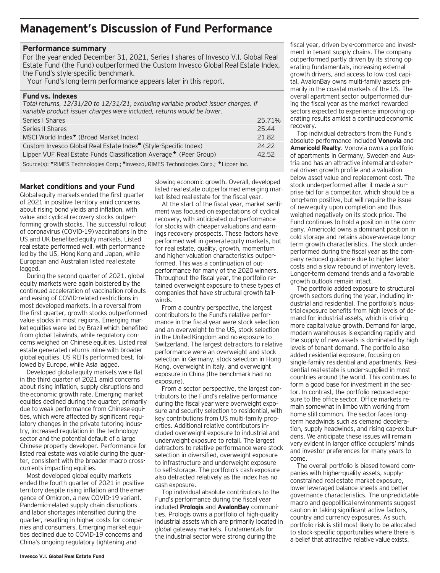### **Management's Discussion of Fund Performance**

#### **Performance summary**

For the year ended December 31, 2021, Series I shares of Invesco V.I. Global Real Estate Fund (the Fund) outperformed the Custom Invesco Global Real Estate Index, the Fund's style-specific benchmark.

Your Fund's long-term performance appears later in this report.

#### **Fund vs. Indexes**

*Total returns, 12/31/20 to 12/31/21, excluding variable product issuer charges. If variable product issuer charges were included, returns would be lower.*

| Series   Shares                                                             | 25.71% |
|-----------------------------------------------------------------------------|--------|
|                                                                             |        |
| Series II Shares                                                            | 25.44  |
| MSCI World Index <sup>▼</sup> (Broad Market Index)                          | 21.82  |
| Custom Invesco Global Real Estate Index <sup>"</sup> (Style-Specific Index) | 24.22  |
| Lipper VUF Real Estate Funds Classification Average ♦ (Peer Group)          | 42.52  |
|                                                                             |        |

Source(s): "RIMES Technologies Corp.; "Invesco, RIMES Technologies Corp.; \* Lipper Inc.

#### **Market conditions and your Fund**

Global equity markets ended the first quarter of 2021 in positive territory amid concerns about rising bond yields and inflation, with value and cyclical recovery stocks outperforming growth stocks. The successful rollout of coronavirus (COVID-19) vaccinations in the US and UK benefited equity markets. Listed real estate performed well, with performance led by the US, Hong Kong and Japan, while European and Australian listed real estate lagged.

During the second quarter of 2021, global equity markets were again bolstered by the continued acceleration of vaccination rollouts and easing of COVID-related restrictions in most developed markets. In a reversal from the first quarter, growth stocks outperformed value stocks in most regions. Emerging market equities were led by Brazil which benefited from global tailwinds, while regulatory concerns weighed on Chinese equities. Listed real estate generated returns inline with broader global equities. US REITs performed best, followed by Europe, while Asia lagged.

Developed global equity markets were flat in the third quarter of 2021 amid concerns about rising inflation, supply disruptions and the economic growth rate. Emerging market equities declined during the quarter, primarily due to weak performance from Chinese equities, which were affected by significant regulatory changes in the private tutoring industry, increased regulation in the technology sector and the potential default of a large Chinese property developer. Performance for listed real estate was volatile during the quarter, consistent with the broader macro crosscurrents impacting equities.

Most developed global equity markets ended the fourth quarter of 2021 in positive territory despite rising inflation and the emergence of Omicron, a new COVID-19 variant. Pandemic-related supply chain disruptions and labor shortages intensified during the quarter, resulting in higher costs for companies and consumers. Emerging market equities declined due to COVID-19 concerns and China's ongoing regulatory tightening and

slowing economic growth. Overall, developed listed real estate outperformed emerging market listed real estate for the fiscal year.

At the start of the fiscal year, market sentiment was focused on expectations of cyclical recovery, with anticipated out-performance for stocks with cheaper valuations and earnings recovery prospects. These factors have performed well in general equity markets, but for real estate, quality, growth, momentum and higher valuation characteristics outperformed. This was a continuation of outperformance for many of the 2020 winners. Throughout the fiscal year, the portfolio retained overweight exposure to these types of companies that have structural growth tailwinds.

From a country perspective, the largest contributors to the Fund's relative performance in the fiscal year were stock selection and an overweight to the US, stock selection in the United Kingdom and no exposure to Switzerland. The largest detractors to relative performance were an overweight and stock selection in Germany, stock selection in Hong Kong, overweight in Italy, and overweight exposure in China (the benchmark had no exposure).

From a sector perspective, the largest contributors to the Fund's relative performance during the fiscal year were overweight exposure and security selection to residential, with key contributions from US multi-family properties. Additional relative contributors included overweight exposure to industrial and underweight exposure to retail. The largest detractors to relative performance were stock selection in diversified, overweight exposure to infrastructure and underweight exposure to self-storage. The portfolio's cash exposure also detracted relatively as the index has no cash exposure.

Top individual absolute contributors to the Fund's performance during the fiscal year included **Prologis** and **AvalonBay** communities. Prologis owns a portfolio of high-quality industrial assets which are primarily located in global gateway markets. Fundamentals for the industrial sector were strong during the

fiscal year, driven by e-commerce and investment in tenant supply chains. The company outperformed partly driven by its strong operating fundamentals, increasing external growth drivers, and access to low-cost capital. AvalonBay owns multi-family assets primarily in the coastal markets of the US. The overall apartment sector outperformed during the fiscal year as the market rewarded sectors expected to experience improving operating results amidst a continued economic recovery.

Top individual detractors from the Fund's absolute performance included **Vonovia** and **Americold Realty**. Vonovia owns a portfolio of apartments in Germany, Sweden and Austria and has an attractive internal and external driven growth profile and a valuation below asset value and replacement cost. The stock underperformed after it made a surprise bid for a competitor, which should be a long-term positive, but will require the issue of new equity upon completion and thus weighed negatively on its stock price. The Fund continues to hold a position in the company. Americold owns a dominant position in cold storage and retains above-average longterm growth characteristics. The stock underperformed during the fiscal year as the company reduced guidance due to higher labor costs and a slow rebound of inventory levels. Longer-term demand trends and a favorable growth outlook remain intact.

The portfolio added exposure to structural growth sectors during the year, including industrial and residential. The portfolio's industrial exposure benefits from high levels of demand for industrial assets, which is driving more capital value growth. Demand for large, modern warehouses is expanding rapidly and the supply of new assets is dominated by high levels of tenant demand. The portfolio also added residential exposure, focusing on single-family residential and apartments. Residential real estate is under-supplied in most countries around the world. This continues to form a good base for investment in the sector. In contrast, the portfolio reduced exposure to the office sector. Office markets remain somewhat in limbo with working from home still common. The sector faces longterm headwinds such as demand deceleration, supply headwinds, and rising cap-ex burdens. We anticipate these issues will remain very evident in larger office occupiers' minds and investor preferences for many years to come.

The overall portfolio is biased toward companies with higher-quality assets, supplyconstrained real estate market exposure, lower leveraged balance sheets and better governance characteristics. The unpredictable macro and geopolitical environments suggest caution in taking significant active factors, country and currency exposures. As such, portfolio risk is still most likely to be allocated to stock-specific opportunities where there is a belief that attractive relative value exists.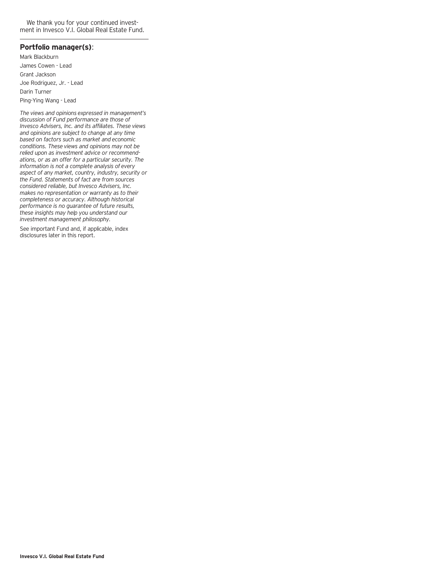We thank you for your continued investment in Invesco V.I. Global Real Estate Fund.

### **Portfolio manager(s)**:

Mark Blackburn James Cowen - Lead Grant Jackson Joe Rodriguez, Jr. - Lead Darin Turner Ping-Ying Wang - Lead

*The views and opinions expressed in management's discussion of Fund performance are those of Invesco Advisers, Inc. and its affiliates. These views and opinions are subject to change at any time based on factors such as market and economic conditions. These views and opinions may not be relied upon as investment advice or recommendations, or as an offer for a particular security. The information is not a complete analysis of every aspect of any market, country, industry, security or the Fund. Statements of fact are from sources considered reliable, but Invesco Advisers, Inc. makes no representation or warranty as to their completeness or accuracy. Although historical performance is no guarantee of future results, these insights may help you understand our investment management philosophy.*

See important Fund and, if applicable, index disclosures later in this report.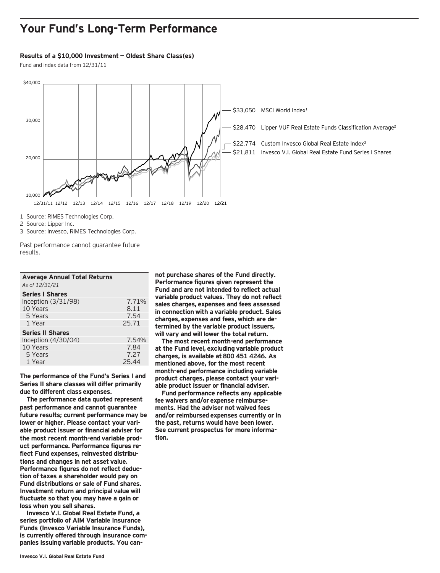### **Your Fund's Long-Term Performance**

#### **Results of a \$10,000 Investment — Oldest Share Class(es)**

Fund and index data from 12/31/11



1 Source: RIMES Technologies Corp.

2 Source: Lipper Inc.

3 Source: Invesco, RIMES Technologies Corp.

Past performance cannot guarantee future results.

| <b>Average Annual Total Returns</b><br>As of 12/31/21 |       |
|-------------------------------------------------------|-------|
| <b>Series I Shares</b>                                |       |
| Inception $(3/31/98)$                                 | 7.71% |
| 10 Years                                              | 8.11  |
| 5 Years                                               | 7.54  |
| 1 Year                                                | 25.71 |
| <b>Series II Shares</b>                               |       |
| Inception $(4/30/04)$                                 | 7.54% |
| 10 Years                                              | 7.84  |
| 5 Years                                               | 7.27  |
| 1 Year                                                | 25.44 |

**The performance of the Fund's Series I and Series II share classes will differ primarily due to different class expenses.**

**The performance data quoted represent past performance and cannot guarantee future results; current performance may be lower or higher. Please contact your variable product issuer or financial adviser for the most recent month-end variable product performance. Performance figures reflect Fund expenses, reinvested distributions and changes in net asset value. Performance figures do not reflect deduction of taxes a shareholder would pay on Fund distributions or sale of Fund shares. Investment return and principal value will fluctuate so that you may have a gain or loss when you sell shares.**

**Invesco V.I. Global Real Estate Fund, a series portfolio of AIM Variable Insurance Funds (Invesco Variable Insurance Funds), is currently offered through insurance companies issuing variable products. You can-**

**not purchase shares of the Fund directly. Performance figures given represent the Fund and are not intended to reflect actual variable product values. They do not reflect sales charges, expenses and fees assessed in connection with a variable product. Sales charges, expenses and fees, which are determined by the variable product issuers, will vary and will lower the total return.**

**The most recent month-end performance at the Fund level, excluding variable product charges, is available at 800 451 4246. As mentioned above, for the most recent month-end performance including variable product charges, please contact your variable product issuer or financial adviser.**

**Fund performance reflects any applicable fee waivers and/or expense reimbursements. Had the adviser not waived fees and/or reimbursed expenses currently or in the past, returns would have been lower. See current prospectus for more information.**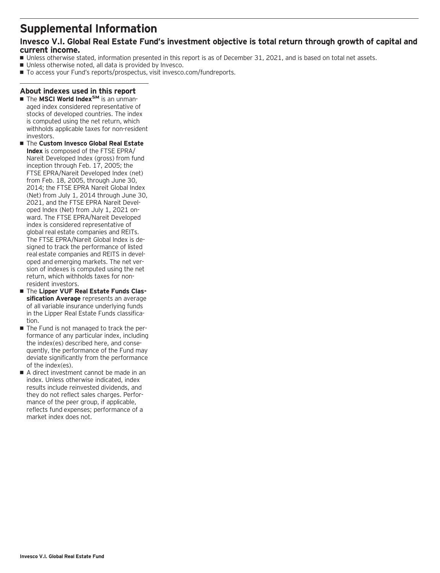### **Supplemental Information**

### **Invesco V.I. Global Real Estate Fund's investment objective is total return through growth of capital and current income.**

- Unless otherwise stated, information presented in this report is as of December 31, 2021, and is based on total net assets.
- Unless otherwise noted, all data is provided by Invesco.
- To access your Fund's reports/prospectus, visit invesco.com/fundreports.

### **About indexes used in this report**

- The **MSCI World Index<sup>SM</sup>** is an unmanaged index considered representative of stocks of developed countries. The index is computed using the net return, which withholds applicable taxes for non-resident investors.
- The **Custom Invesco Global Real Estate Index** is composed of the FTSE EPRA/ Nareit Developed Index (gross) from fund inception through Feb. 17, 2005; the FTSE EPRA/Nareit Developed Index (net) from Feb. 18, 2005, through June 30, 2014; the FTSE EPRA Nareit Global Index (Net) from July 1, 2014 through June 30, 2021, and the FTSE EPRA Nareit Developed Index (Net) from July 1, 2021 onward. The FTSE EPRA/Nareit Developed index is considered representative of global real estate companies and REITs. The FTSE EPRA/Nareit Global Index is designed to track the performance of listed real estate companies and REITS in developed and emerging markets. The net version of indexes is computed using the net return, which withholds taxes for nonresident investors.
- $\blacksquare$  The Lipper VUF Real Estate Funds Clas**sification Average** represents an average of all variable insurance underlying funds in the Lipper Real Estate Funds classification.
- The Fund is not managed to track the performance of any particular index, including the index(es) described here, and consequently, the performance of the Fund may deviate significantly from the performance of the index(es).
- A direct investment cannot be made in an index. Unless otherwise indicated, index results include reinvested dividends, and they do not reflect sales charges. Performance of the peer group, if applicable, reflects fund expenses; performance of a market index does not.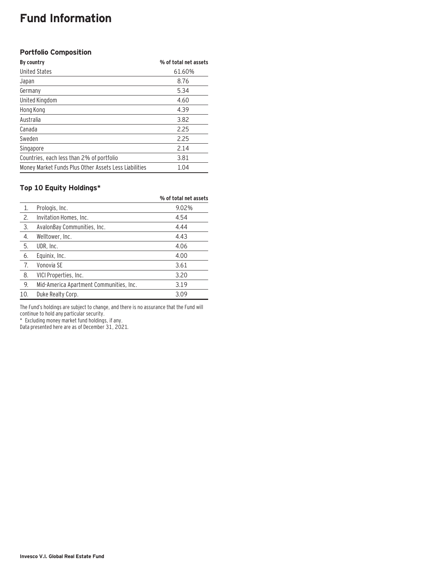### **Fund Information**

### **Portfolio Composition**

| By country                                            | % of total net assets |
|-------------------------------------------------------|-----------------------|
| <b>United States</b>                                  | 61.60%                |
| Japan                                                 | 8.76                  |
| Germany                                               | 5.34                  |
| United Kingdom                                        | 4.60                  |
| Hong Kong                                             | 4.39                  |
| Australia                                             | 3.82                  |
| Canada                                                | 2.25                  |
| Sweden                                                | 2.25                  |
| Singapore                                             | 2.14                  |
| Countries, each less than 2% of portfolio             | 3.81                  |
| Money Market Funds Plus Other Assets Less Liabilities | 1.04                  |

### **Top 10 Equity Holdings\***

|     |                                         | % of total net assets |
|-----|-----------------------------------------|-----------------------|
| 1.  | Prologis, Inc.                          | 9.02%                 |
| 2.  | Invitation Homes, Inc.                  | 4.54                  |
| 3.  | AvalonBay Communities, Inc.             | 4.44                  |
| 4.  | Welltower, Inc.                         | 4.43                  |
| 5.  | UDR, Inc.                               | 4.06                  |
| 6.  | Equinix, Inc.                           | 4.00                  |
| 7.  | Vonovia SE                              | 3.61                  |
| 8.  | VICI Properties, Inc.                   | 3.20                  |
| 9.  | Mid-America Apartment Communities, Inc. | 3.19                  |
| 10. | Duke Realty Corp.                       | 3.09                  |

The Fund's holdings are subject to change, and there is no assurance that the Fund will continue to hold any particular security.

\* Excluding money market fund holdings, if any.

Data presented here are as of December 31, 2021.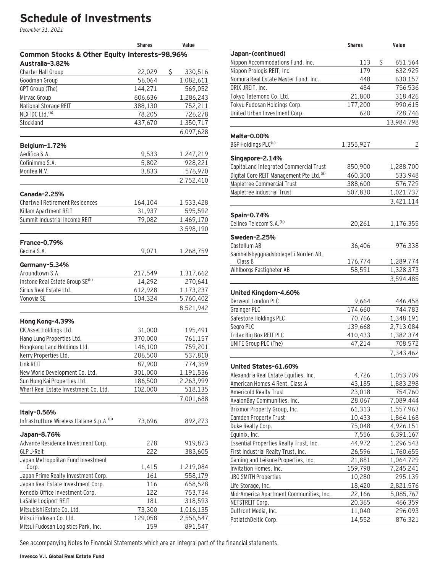# **Schedule of Investments**

December 31, 2021

| Common Stocks & Other Equity Interests-98.96%<br>Australia-3.82%<br>\$<br><b>Charter Hall Group</b><br>22,029<br>330,516<br>56,064<br>1,082,611<br>Goodman Group<br>GPT Group (The)<br>144,271<br>569,052<br>Mirvac Group<br>1,286,243<br>606,636<br>752,211<br>National Storage REIT<br>388,130<br>NEXTDC Ltd. <sup>(a)</sup><br>78,205<br>726,278<br>1,350,717<br>Stockland<br>437,670<br>6,097,628<br>Belgium-1.72%<br>Aedifica S.A.<br>9,533<br>1,247,219<br>Cofinimmo S.A.<br>5,802<br>928,221 |
|-----------------------------------------------------------------------------------------------------------------------------------------------------------------------------------------------------------------------------------------------------------------------------------------------------------------------------------------------------------------------------------------------------------------------------------------------------------------------------------------------------|
|                                                                                                                                                                                                                                                                                                                                                                                                                                                                                                     |
|                                                                                                                                                                                                                                                                                                                                                                                                                                                                                                     |
|                                                                                                                                                                                                                                                                                                                                                                                                                                                                                                     |
|                                                                                                                                                                                                                                                                                                                                                                                                                                                                                                     |
|                                                                                                                                                                                                                                                                                                                                                                                                                                                                                                     |
|                                                                                                                                                                                                                                                                                                                                                                                                                                                                                                     |
|                                                                                                                                                                                                                                                                                                                                                                                                                                                                                                     |
|                                                                                                                                                                                                                                                                                                                                                                                                                                                                                                     |
|                                                                                                                                                                                                                                                                                                                                                                                                                                                                                                     |
|                                                                                                                                                                                                                                                                                                                                                                                                                                                                                                     |
|                                                                                                                                                                                                                                                                                                                                                                                                                                                                                                     |
|                                                                                                                                                                                                                                                                                                                                                                                                                                                                                                     |
|                                                                                                                                                                                                                                                                                                                                                                                                                                                                                                     |
| Montea N.V.<br>3,833<br>576,970                                                                                                                                                                                                                                                                                                                                                                                                                                                                     |
| 2,752,410                                                                                                                                                                                                                                                                                                                                                                                                                                                                                           |
| <b>Canada-2.25%</b>                                                                                                                                                                                                                                                                                                                                                                                                                                                                                 |
| <b>Chartwell Retirement Residences</b><br>164,104<br>1,533,428                                                                                                                                                                                                                                                                                                                                                                                                                                      |
| Killam Apartment REIT<br>31,937<br>595,592                                                                                                                                                                                                                                                                                                                                                                                                                                                          |
| Summit Industrial Income REIT<br>79,082<br>1,469,170                                                                                                                                                                                                                                                                                                                                                                                                                                                |
| 3,598,190                                                                                                                                                                                                                                                                                                                                                                                                                                                                                           |
| <b>France-0.79%</b>                                                                                                                                                                                                                                                                                                                                                                                                                                                                                 |
| Gecina S.A.<br>9,071<br>1,268,759                                                                                                                                                                                                                                                                                                                                                                                                                                                                   |
|                                                                                                                                                                                                                                                                                                                                                                                                                                                                                                     |
| Germany-5.34%                                                                                                                                                                                                                                                                                                                                                                                                                                                                                       |
| Aroundtown S.A.<br>217,549<br>1,317,662<br>Instone Real Estate Group SE(b)<br>14,292                                                                                                                                                                                                                                                                                                                                                                                                                |
| 270,641<br>Sirius Real Estate Ltd.<br>612,928<br>1,173,237                                                                                                                                                                                                                                                                                                                                                                                                                                          |
| Vonovia SE<br>104,324<br>5,760,402                                                                                                                                                                                                                                                                                                                                                                                                                                                                  |
| 8,521,942                                                                                                                                                                                                                                                                                                                                                                                                                                                                                           |
|                                                                                                                                                                                                                                                                                                                                                                                                                                                                                                     |
| Hong Kong-4.39%                                                                                                                                                                                                                                                                                                                                                                                                                                                                                     |
| CK Asset Holdings Ltd.<br>31,000<br>195,491                                                                                                                                                                                                                                                                                                                                                                                                                                                         |
| Hang Lung Properties Ltd.<br>370,000<br>761,157                                                                                                                                                                                                                                                                                                                                                                                                                                                     |
| Hongkong Land Holdings Ltd.<br>146,100<br>759,201                                                                                                                                                                                                                                                                                                                                                                                                                                                   |
| Kerry Properties Ltd.<br>206,500<br>537,810                                                                                                                                                                                                                                                                                                                                                                                                                                                         |
| Link REIT<br>87,900<br>774,359                                                                                                                                                                                                                                                                                                                                                                                                                                                                      |
| 301,000<br>New World Development Co. Ltd.<br>1,191,536                                                                                                                                                                                                                                                                                                                                                                                                                                              |
| Sun Hung Kai Properties Ltd.<br>2,263,999<br>186,500<br>Wharf Real Estate Investment Co. Ltd.<br>102,000                                                                                                                                                                                                                                                                                                                                                                                            |
| 518,135<br>7,001,688                                                                                                                                                                                                                                                                                                                                                                                                                                                                                |
|                                                                                                                                                                                                                                                                                                                                                                                                                                                                                                     |
| Italy-0.56%                                                                                                                                                                                                                                                                                                                                                                                                                                                                                         |
| Infrastrutture Wireless Italiane S.p.A. <sup>(b)</sup><br>73,696<br>892,273                                                                                                                                                                                                                                                                                                                                                                                                                         |
| Japan-8.76%                                                                                                                                                                                                                                                                                                                                                                                                                                                                                         |
| Advance Residence Investment Corp.<br>278<br>919,873                                                                                                                                                                                                                                                                                                                                                                                                                                                |
| <b>GLP J-Reit</b><br>222<br>383,605                                                                                                                                                                                                                                                                                                                                                                                                                                                                 |
| Japan Metropolitan Fund Investment                                                                                                                                                                                                                                                                                                                                                                                                                                                                  |
| 1,415<br>1,219,084<br>Corp.<br>Japan Prime Realty Investment Corp.<br>558,179                                                                                                                                                                                                                                                                                                                                                                                                                       |
| 161<br>Japan Real Estate Investment Corp.                                                                                                                                                                                                                                                                                                                                                                                                                                                           |
| 116<br>658,528<br>Kenedix Office Investment Corp.<br>122<br>753,734                                                                                                                                                                                                                                                                                                                                                                                                                                 |
| LaSalle Logiport REIT<br>181<br>318,593                                                                                                                                                                                                                                                                                                                                                                                                                                                             |
| Mitsubishi Estate Co. Ltd.<br>73,300<br>1,016,135                                                                                                                                                                                                                                                                                                                                                                                                                                                   |
| Mitsui Fudosan Co. Ltd.<br>129,058<br>2,556,547                                                                                                                                                                                                                                                                                                                                                                                                                                                     |
| Mitsui Fudosan Logistics Park, Inc.<br>891,547<br>159                                                                                                                                                                                                                                                                                                                                                                                                                                               |

|                                                          | <b>Shares</b>    | Value                  |
|----------------------------------------------------------|------------------|------------------------|
| Japan-(continued)                                        |                  |                        |
| Nippon Accommodations Fund, Inc.                         | 113              | Ś<br>651,564           |
| Nippon Prologis REIT, Inc.                               | 179              | 632,929                |
| Nomura Real Estate Master Fund, Inc.                     | 448              | 630,157                |
| ORIX JREIT, Inc.                                         | 484              | 756,536                |
| Tokyo Tatemono Co. Ltd.                                  | 21,800           | 318,426                |
| Tokyu Fudosan Holdings Corp.                             | 177,200          | 990,615                |
| United Urban Investment Corp.                            | 620              | 728,746                |
|                                                          |                  | 13,984,798             |
| Malta-0.00%                                              |                  |                        |
| BGP Holdings PLC <sup>(c)</sup>                          | 1,355,927        | 2                      |
|                                                          |                  |                        |
| Singapore-2.14%                                          |                  |                        |
| CapitaLand Integrated Commercial Trust                   | 850,900          | 1,288,700              |
| Digital Core REIT Management Pte Ltd. (a)                | 460,300          | 533,948                |
| Mapletree Commercial Trust                               | 388,600          | 576,729                |
| Mapletree Industrial Trust                               | 507,830          | 1,021,737              |
|                                                          |                  | 3,421,114              |
| Spain-0.74%                                              |                  |                        |
| Cellnex Telecom S.A. <sup>(b)</sup>                      | 20,261           | 1,176,355              |
| <b>Sweden-2.25%</b>                                      |                  |                        |
| Castellum AB                                             | 36,406           | 976,338                |
| Samhallsbyggnadsbolaget i Norden AB,                     |                  |                        |
| Class B                                                  | 176,774          | 1,289,774              |
| Wihlborgs Fastigheter AB                                 | 58,591           | 1,328,373              |
|                                                          |                  | 3,594,485              |
| United Kingdom-4.60%                                     |                  |                        |
| Derwent London PLC                                       | 9,664            | 446,458                |
| Grainger PLC                                             | 174,660          | 744,783                |
| Safestore Holdings PLC                                   | 70,766           | 1,348,191              |
| Segro PLC                                                | 139,668          | 2,713,084              |
| Tritax Big Box REIT PLC                                  | 410,433          | 1,382,374              |
| UNITE Group PLC (The)                                    | 47,214           | 708,572                |
|                                                          |                  | 7,343,462              |
|                                                          |                  |                        |
| United States-61.60%                                     |                  |                        |
| Alexandria Real Estate Equities, Inc.                    | 4,726            | 1,053,709              |
| American Homes 4 Rent, Class A                           | 43,185           | 1,883,298              |
| <b>Americold Realty Trust</b>                            | 23,018           | 754,760                |
| AvalonBay Communities, Inc.                              | 28,067           | 7,089,444              |
| Brixmor Property Group, Inc.                             | 61,313           | 1,557,963              |
| Camden Property Trust<br>Duke Realty Corp.               | 10,433           | 1,864,168              |
|                                                          | 75,048<br>7,556  | 4,926,151              |
| Equinix, Inc.<br>Essential Properties Realty Trust, Inc. | 44,972           | 6,391,167<br>1,296,543 |
| First Industrial Realty Trust, Inc.                      | 26,596           |                        |
| Gaming and Leisure Properties, Inc.                      | 21,881           | 1,760,655<br>1,064,729 |
| Invitation Homes, Inc.                                   | 159,798          | 7,245,241              |
| <b>JBG SMITH Properties</b>                              |                  |                        |
| Life Storage, Inc.                                       | 10,280<br>18,420 | 295,139                |
| Mid-America Apartment Communities, Inc.                  | 22,166           | 2,821,576<br>5,085,767 |
| NETSTREIT Corp.                                          | 20,365           | 466,359                |
| Outfront Media, Inc.                                     | 11,040           | 296,093                |
| PotlatchDeltic Corp.                                     | 14,552           | 876,321                |

See accompanying Notes to Financial Statements which are an integral part of the financial statements.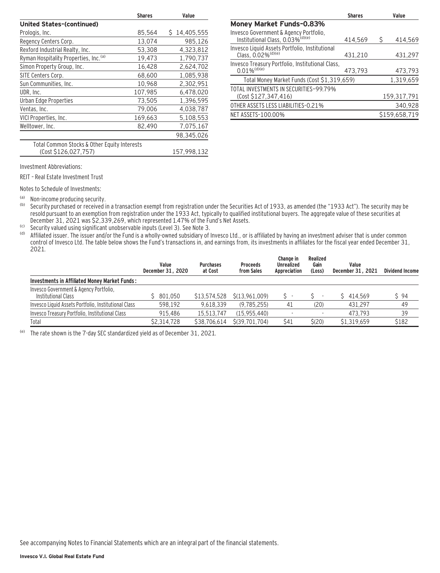|                                              | <b>Shares</b> | Value           |
|----------------------------------------------|---------------|-----------------|
| <b>United States-(continued)</b>             |               |                 |
| Prologis, Inc.                               | 85,564        | 14,405,555<br>S |
| Regency Centers Corp.                        | 13,074        | 985,126         |
| Rexford Industrial Realty, Inc.              | 53,308        | 4,323,812       |
| Ryman Hospitality Properties, Inc. (a)       | 19,473        | 1,790,737       |
| Simon Property Group, Inc.                   | 16,428        | 2,624,702       |
| SITE Centers Corp.                           | 68,600        | 1,085,938       |
| Sun Communities, Inc.                        | 10,968        | 2,302,951       |
| UDR, Inc.                                    | 107,985       | 6,478,020       |
| Urban Edge Properties                        | 73,505        | 1,396,595       |
| Ventas, Inc.                                 | 79,006        | 4,038,787       |
| VICI Properties, Inc.                        | 169,663       | 5,108,553       |
| Welltower, Inc.                              | 82,490        | 7,075,167       |
|                                              |               | 98,345,026      |
| Total Common Stocks & Other Equity Interests |               |                 |
| (Cost \$126,027,757)                         |               | 157,998,132     |

|                                                                                        | <b>Shares</b> |   | Value         |
|----------------------------------------------------------------------------------------|---------------|---|---------------|
| <b>Money Market Funds-0.83%</b>                                                        |               |   |               |
| Invesco Government & Agency Portfolio,<br>Institutional Class, 0.03% <sup>(d)(e)</sup> | 414.569       | S | 414.569       |
| Invesco Liquid Assets Portfolio, Institutional<br>Class, 0.02% <sup>(d)(e)</sup>       | 431.210       |   | 431.297       |
| Invesco Treasury Portfolio, Institutional Class,<br>$0.01\%$ <sup>(d)(e)</sup>         | 473.793       |   | 473,793       |
| Total Money Market Funds (Cost \$1,319,659)                                            |               |   | 1,319,659     |
| TOTAL INVESTMENTS IN SECURITIES-99.79%<br>(Cost \$127,347,416)                         |               |   | 159,317,791   |
| OTHER ASSETS LESS LIABILITIES-0.21%                                                    |               |   | 340,928       |
| NET ASSETS-100.00%                                                                     |               |   | \$159,658,719 |

Investment Abbreviations:

REIT – Real Estate Investment Trust

Notes to Schedule of Investments:

(a) Non-income producing security.<br>(b) Security purchased or received in

Security purchased or received in a transaction exempt from registration under the Securities Act of 1933, as amended (the "1933 Act"). The security may be resold pursuant to an exemption from registration under the 1933 Act, typically to qualified institutional buyers. The aggregate value of these securities at December 31, 2021 was \$2,339,269, which represented 1.47% of the Fund's Net Assets.

(c) Security valued using significant unobservable inputs (Level 3). See Note 3.

(d) Affiliated issuer. The issuer and/or the Fund is a wholly-owned subsidiary of Invesco Ltd., or is affiliated by having an investment adviser that is under common control of Invesco Ltd. The table below shows the Fund's transactions in, and earnings from, its investments in affiliates for the fiscal year ended December 31, 2021.

|                                                               | Value<br>December 31, 2020 | <b>Purchases</b><br>at Cost | <b>Proceeds</b><br>from Sales | Change in<br>Unrealized<br>Appreciation | Realized<br>Gain<br>(Loss) | Value<br>December 31, 2021 | <b>Dividend Income</b> |
|---------------------------------------------------------------|----------------------------|-----------------------------|-------------------------------|-----------------------------------------|----------------------------|----------------------------|------------------------|
| Investments in Affiliated Money Market Funds:                 |                            |                             |                               |                                         |                            |                            |                        |
| Invesco Government & Agency Portfolio,<br>Institutional Class | \$801.050                  | \$13,574,528                | S(13.961.009)                 |                                         |                            | \$414.569                  | \$94                   |
| Invesco Liquid Assets Portfolio, Institutional Class          | 598.192                    | 9.618.339                   | (9.785.255)                   | 41                                      | (20)                       | 431.297                    | 49                     |
| Invesco Treasury Portfolio, Institutional Class               | 915.486                    | 15.513.747                  | (15.955.440)                  |                                         |                            | 473.793                    | 39                     |
| Total                                                         | \$2,314,728                | \$38,706.614                | S(39.701.704)                 | \$41                                    | S(20)                      | \$1.319.659                | \$182                  |

(e) The rate shown is the 7-day SEC standardized yield as of December 31, 2021.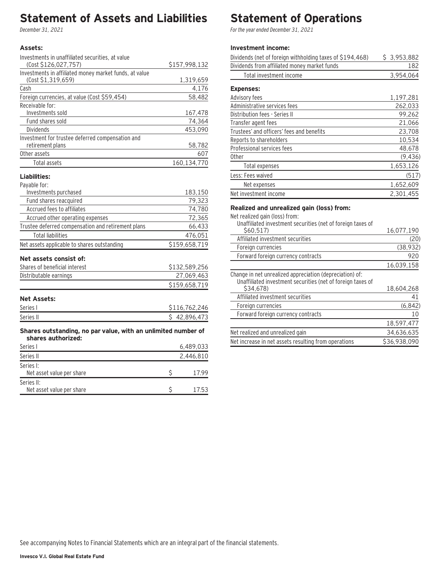## **Statement of Assets and Liabilities**

December 31, 2021

### **Assets:**

| Investments in unaffiliated securities, at value                                    |               |
|-------------------------------------------------------------------------------------|---------------|
| (Cost \$126,027,757)                                                                | \$157,998,132 |
| Investments in affiliated money market funds, at value                              |               |
| (Cost \$1,319,659)                                                                  | 1,319,659     |
| Cash                                                                                | 4,176         |
| Foreign currencies, at value (Cost \$59,454)                                        | 58,482        |
| Receivable for:<br>Investments sold                                                 | 167,478       |
| Fund shares sold                                                                    | 74,364        |
| Dividends                                                                           | 453,090       |
| Investment for trustee deferred compensation and                                    |               |
| retirement plans                                                                    | 58,782        |
| Other assets                                                                        | 607           |
| Total assets                                                                        | 160,134,770   |
| Liabilities:                                                                        |               |
| Payable for:                                                                        |               |
| Investments purchased                                                               | 183,150       |
| Fund shares reacquired                                                              | 79,323        |
| Accrued fees to affiliates                                                          | 74,780        |
| Accrued other operating expenses                                                    | 72,365        |
| Trustee deferred compensation and retirement plans                                  | 66,433        |
| <b>Total liabilities</b>                                                            | 476,051       |
| Net assets applicable to shares outstanding                                         | \$159,658,719 |
| Net assets consist of:                                                              |               |
| Shares of beneficial interest                                                       | \$132,589,256 |
| Distributable earnings                                                              | 27,069,463    |
|                                                                                     | \$159,658,719 |
| <b>Net Assets:</b>                                                                  |               |
| Series I                                                                            | \$116,762,246 |
| Series II                                                                           | \$42,896,473  |
| Shares outstanding, no par value, with an unlimited number of<br>shares authorized: |               |
| $C_{\alpha}$ rigged                                                                 | (100000)      |

| Series I                                | 6,489,033 |
|-----------------------------------------|-----------|
| Series II                               | 2,446,810 |
| Series I:<br>Net asset value per share  | 17.99     |
| Series II:<br>Net asset value per share | 17.53     |

### **Statement of Operations**

For the year ended December 31, 2021

#### **Investment income:**

| Dividends (net of foreign withholding taxes of \$194,468) | \$3,953,882 |
|-----------------------------------------------------------|-------------|
| Dividends from affiliated money market funds              | 182         |
| Total investment income                                   | 3,954,064   |
| <b>Expenses:</b>                                          |             |
| Advisory fees                                             | 1,197,281   |
| Administrative services fees                              | 262,033     |
| Distribution fees - Series II                             | 99,262      |
| Transfer agent fees                                       | 21,066      |
| Trustees' and officers' fees and benefits                 | 23,708      |
| Reports to shareholders                                   | 10,534      |
| Professional services fees                                | 48,678      |
| 0ther                                                     | (9, 436)    |
| Total expenses                                            | 1,653,126   |
| Less: Fees waived                                         | (517)       |
| Net expenses                                              | 1,652,609   |
| Net investment income                                     | 2.301.455   |

### **Realized and unrealized gain (loss) from:**

Net realized gain (loss) from:

| Unaffiliated investment securities (net of foreign taxes of                                                             |              |
|-------------------------------------------------------------------------------------------------------------------------|--------------|
| \$60,517                                                                                                                | 16,077,190   |
| Affiliated investment securities                                                                                        | (20)         |
| Foreign currencies                                                                                                      | (38, 932)    |
| Forward foreign currency contracts                                                                                      | 920          |
|                                                                                                                         | 16,039,158   |
| Change in net unrealized appreciation (depreciation) of:<br>Unaffiliated investment securities (net of foreign taxes of |              |
| S34.678)                                                                                                                | 18,604,268   |
| Affiliated investment securities                                                                                        | 41           |
| Foreign currencies                                                                                                      | (6, 842)     |
| Forward foreign currency contracts                                                                                      | 10           |
|                                                                                                                         | 18,597,477   |
| Net realized and unrealized gain                                                                                        | 34,636,635   |
| Net increase in net assets resulting from operations                                                                    | \$36,938,090 |
|                                                                                                                         |              |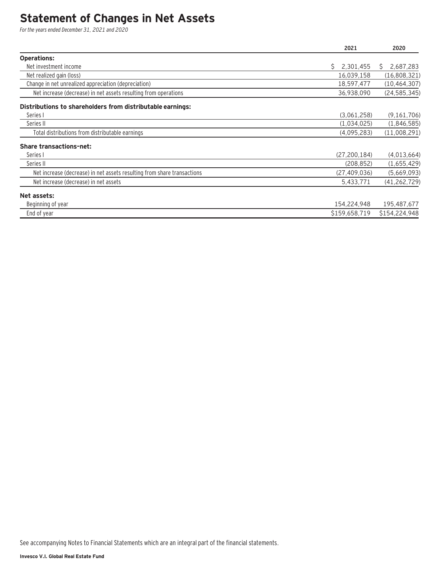### **Statement of Changes in Net Assets**

For the years ended December 31, 2021 and 2020

|                                                                         | 2021            | 2020            |
|-------------------------------------------------------------------------|-----------------|-----------------|
| <b>Operations:</b>                                                      |                 |                 |
| Net investment income                                                   | 2,301,455<br>Ŝ. | 2,687,283<br>S. |
| Net realized gain (loss)                                                | 16,039,158      | (16,808,321)    |
| Change in net unrealized appreciation (depreciation)                    | 18,597,477      | (10, 464, 307)  |
| Net increase (decrease) in net assets resulting from operations         | 36,938,090      | (24, 585, 345)  |
| Distributions to shareholders from distributable earnings:              |                 |                 |
| Series I                                                                | (3,061,258)     | (9,161,706)     |
| Series II                                                               | (1,034,025)     | (1,846,585)     |
| Total distributions from distributable earnings                         | (4,095,283)     | (11,008,291)    |
| <b>Share transactions-net:</b>                                          |                 |                 |
| Series I                                                                | (27, 200, 184)  | (4,013,664)     |
| Series II                                                               | (208, 852)      | (1,655,429)     |
| Net increase (decrease) in net assets resulting from share transactions | (27, 409, 036)  | (5,669,093)     |
| Net increase (decrease) in net assets                                   | 5,433,771       | (41, 262, 729)  |
| Net assets:                                                             |                 |                 |
| Beginning of year                                                       | 154,224,948     | 195,487,677     |
| End of year                                                             | \$159,658,719   | \$154,224,948   |

See accompanying Notes to Financial Statements which are an integral part of the financial statements.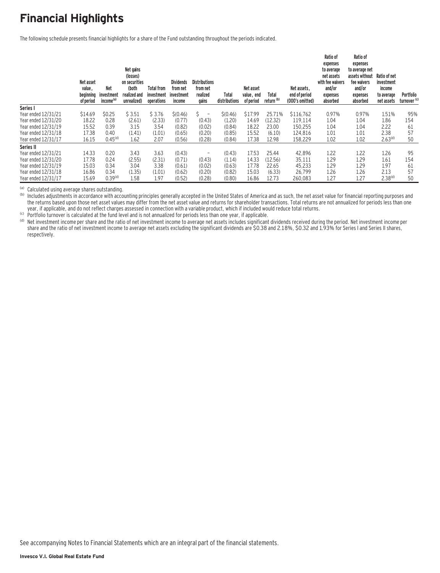# **Financial Highlights**

The following schedule presents financial highlights for a share of the Fund outstanding throughout the periods indicated.

|                     | Net asset<br>value,<br>beginning<br>of period | <b>Net</b><br>investment<br>income <sup>(a)</sup> | Net gains<br>(losses)<br>on securities<br>(both<br>realized and<br>unrealized) | <b>Total from</b><br>investment<br>operations | <b>Dividends</b><br>from net<br>investment<br>income | <b>Distributions</b><br>from net<br>realized<br>gains | Total<br>distributions | Net asset<br>value, end<br>of period | Total<br>return <sup>(b)</sup> | Net assets.<br>end of period<br>(000's omitted) | Ratio of<br>expenses<br>to average<br>net assets<br>with fee waivers<br>and/or<br>expenses<br>absorbed | Ratio of<br>expenses<br>to average net<br>assets without<br>fee waivers<br>and/or<br>expenses<br>absorbed | Ratio of net<br>investment<br>income<br>to average<br>net assets | Portfolio<br>turnover <sup>(c)</sup> |
|---------------------|-----------------------------------------------|---------------------------------------------------|--------------------------------------------------------------------------------|-----------------------------------------------|------------------------------------------------------|-------------------------------------------------------|------------------------|--------------------------------------|--------------------------------|-------------------------------------------------|--------------------------------------------------------------------------------------------------------|-----------------------------------------------------------------------------------------------------------|------------------------------------------------------------------|--------------------------------------|
| Series I            |                                               |                                                   |                                                                                |                                               |                                                      |                                                       |                        |                                      |                                |                                                 |                                                                                                        |                                                                                                           |                                                                  |                                      |
| Year ended 12/31/21 | \$14.69                                       | \$0.25                                            | \$3.51                                                                         | \$3.76                                        | \$(0.46)                                             | $\overline{a}$                                        | \$(0.46)               | \$17.99                              | 25.71%                         | \$116,762                                       | 0.97%                                                                                                  | 0.97%                                                                                                     | 1.51%                                                            | 95%                                  |
| Year ended 12/31/20 | 18.22                                         | 0.28                                              | (2.61)                                                                         | (2.33)                                        | (0.77)                                               | (0.43)                                                | (1.20)                 | 14.69                                | (12.32)                        | 119.114                                         | 1.04                                                                                                   | 1.04                                                                                                      | 1.86                                                             | 154                                  |
| Year ended 12/31/19 | 15.52                                         | 0.39                                              | 3.15                                                                           | 3.54                                          | (0.82)                                               | (0.02)                                                | (0.84)                 | 18.22                                | 23.00                          | 150,255                                         | 1.04                                                                                                   | 1.04                                                                                                      | 2.22                                                             | 61                                   |
| Year ended 12/31/18 | 17.38                                         | 0.40                                              | (1.41)                                                                         | (1.01)                                        | (0.65)                                               | (0.20)                                                | (0.85)                 | 15.52                                | (6.10)                         | 124,816                                         | 1.01                                                                                                   | 1.01                                                                                                      | 2.38                                                             | 57                                   |
| Year ended 12/31/17 | 16.15                                         | 0.45 <sup>(d)</sup>                               | 1.62                                                                           | 2.07                                          | (0.56)                                               | (0.28)                                                | (0.84)                 | 17.38                                | 12.98                          | 158,229                                         | 1.02                                                                                                   | 1.02                                                                                                      | 2.63 <sup>(d)</sup>                                              | 50                                   |
| Series II           |                                               |                                                   |                                                                                |                                               |                                                      |                                                       |                        |                                      |                                |                                                 |                                                                                                        |                                                                                                           |                                                                  |                                      |
| Year ended 12/31/21 | 14.33                                         | 0.20                                              | 3.43                                                                           | 3.63                                          | (0.43)                                               | $\overline{\phantom{0}}$                              | (0.43)                 | 17.53                                | 25.44                          | 42,896                                          | 1.22                                                                                                   | 1.22                                                                                                      | 1.26                                                             | 95                                   |
| Year ended 12/31/20 | 17.78                                         | 0.24                                              | (2.55)                                                                         | (2.31)                                        | (0.71)                                               | (0.43)                                                | (1.14)                 | 14.33                                | (12.56)                        | 35,111                                          | 1.29                                                                                                   | 1.29                                                                                                      | 1.61                                                             | 154                                  |
| Year ended 12/31/19 | 15.03                                         | 0.34                                              | 3.04                                                                           | 3.38                                          | (0.61)                                               | (0.02)                                                | (0.63)                 | 17.78                                | 22.65                          | 45,233                                          | 1.29                                                                                                   | 1.29                                                                                                      | 1.97                                                             | 61                                   |
| Year ended 12/31/18 | 16.86                                         | 0.34                                              | (1.35)                                                                         | (1.01)                                        | (0.62)                                               | (0.20)                                                | (0.82)                 | 15.03                                | (6.33)                         | 26,799                                          | 1.26                                                                                                   | 1.26                                                                                                      | 2.13                                                             | 57                                   |
| Year ended 12/31/17 | 15.69                                         | 0.39 <sup>(d)</sup>                               | 1.58                                                                           | 1.97                                          | (0.52)                                               | (0.28)                                                | (0.80)                 | 16.86                                | 12.73                          | 260,083                                         | 1.27                                                                                                   | 1.27                                                                                                      | 2.38 <sup>(d)</sup>                                              | 50                                   |

(a) Calculated using average shares outstanding.<br>(b) Includes adjustments in accordance with accounting principles generally accepted in the United States of America and as such, the net asset value for financial reporting the returns based upon those net asset values may differ from the net asset value and returns for shareholder transactions. Total returns are not annualized for periods less than one vear, if applicable, and do not reflect

(c) Portfolio turnover is calculated at the fund level and is not annualized for periods less than one year, if applicable.<br>(d) Net investment income per share and the ratio of net investment income to average net assets i share and the ratio of net investment income to average net assets excluding the significant dividends are \$0.38 and 2.18%, \$0.32 and 1.93% for Series I and Series II shares, respectively.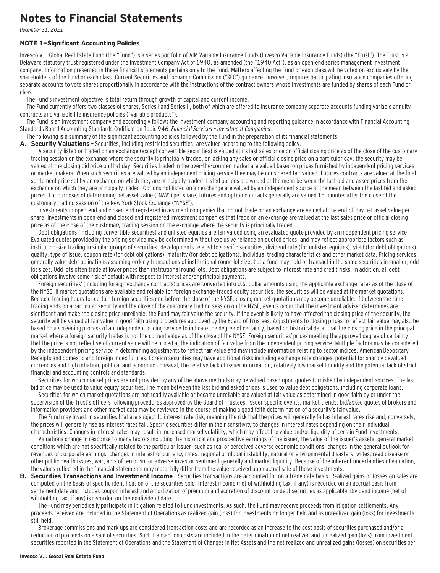### **Notes to Financial Statements**

December 31, 2021

#### **NOTE 1—Significant Accounting Policies**

Invesco V.I. Global Real Estate Fund (the "Fund") is a series portfolio of AIM Variable Insurance Funds (Invesco Variable Insurance Funds) (the "Trust"). The Trust is a Delaware statutory trust registered under the Investment Company Act of 1940, as amended (the "1940 Act"), as an open-end series management investment company. Information presented in these financial statements pertains only to the Fund. Matters affecting the Fund or each class will be voted on exclusively by the shareholders of the Fund or each class. Current Securities and Exchange Commission ("SEC") guidance, however, requires participating insurance companies offering separate accounts to vote shares proportionally in accordance with the instructions of the contract owners whose investments are funded by shares of each Fund or class.

The Fund's investment objective is total return through growth of capital and current income.

The Fund currently offers two classes of shares, Series I and Series II, both of which are offered to insurance company separate accounts funding variable annuity contracts and variable life insurance policies ("variable products").

The Fund is an investment company and accordingly follows the investment company accounting and reporting guidance in accordance with Financial Accounting Standards Board Accounting Standards Codification Topic 946, Financial Services – Investment Companies.

The following is a summary of the significant accounting policies followed by the Fund in the preparation of its financial statements.

A. Security Valuations - Securities, including restricted securities, are valued according to the following policy.

A security listed or traded on an exchange (except convertible securities) is valued at its last sales price or official closing price as of the close of the customary trading session on the exchange where the security is principally traded, or lacking any sales or official closing price on a particular day, the security may be valued at the closing bid price on that day. Securities traded in the over-the-counter market are valued based on prices furnished by independent pricing services or market makers. When such securities are valued by an independent pricing service they may be considered fair valued. Futures contracts are valued at the final settlement price set by an exchange on which they are principally traded. Listed options are valued at the mean between the last bid and asked prices from the exchange on which they are principally traded. Options not listed on an exchange are valued by an independent source at the mean between the last bid and asked prices. For purposes of determining net asset value ("NAV") per share, futures and option contracts generally are valued 15 minutes after the close of the customary trading session of the New York Stock Exchange ("NYSE").

Investments in open-end and closed-end registered investment companies that do not trade on an exchange are valued at the end-of-day net asset value per share. Investments in open-end and closed-end registered investment companies that trade on an exchange are valued at the last sales price or official closing price as of the close of the customary trading session on the exchange where the security is principally traded.

Debt obligations (including convertible securities) and unlisted equities are fair valued using an evaluated quote provided by an independent pricing service. Evaluated quotes provided by the pricing service may be determined without exclusive reliance on quoted prices, and may reflect appropriate factors such as institution-size trading in similar groups of securities, developments related to specific securities, dividend rate (for unlisted equities), yield (for debt obligations), quality, type of issue, coupon rate (for debt obligations), maturity (for debt obligations), individual trading characteristics and other market data. Pricing services generally value debt obligations assuming orderly transactions of institutional round lot size, but a fund may hold or transact in the same securities in smaller, odd lot sizes. Odd lots often trade at lower prices than institutional round lots. Debt obligations are subject to interest rate and credit risks. In addition, all debt obligations involve some risk of default with respect to interest and/or principal payments.

Foreign securities' (including foreign exchange contracts) prices are converted into U.S. dollar amounts using the applicable exchange rates as of the close of the NYSE. If market quotations are available and reliable for foreign exchange-traded equity securities, the securities will be valued at the market quotations. Because trading hours for certain foreign securities end before the close of the NYSE, closing market quotations may become unreliable. If between the time trading ends on a particular security and the close of the customary trading session on the NYSE, events occur that the investment adviser determines are significant and make the closing price unreliable, the Fund may fair value the security. If the event is likely to have affected the closing price of the security, the security will be valued at fair value in good faith using procedures approved by the Board of Trustees. Adjustments to closing prices to reflect fair value may also be based on a screening process of an independent pricing service to indicate the degree of certainty, based on historical data, that the closing price in the principal market where a foreign security trades is not the current value as of the close of the NYSE. Foreign securities' prices meeting the approved degree of certainty that the price is not reflective of current value will be priced at the indication of fair value from the independent pricing service. Multiple factors may be considered by the independent pricing service in determining adjustments to reflect fair value and may include information relating to sector indices, American Depositary Receipts and domestic and foreign index futures. Foreign securities may have additional risks including exchange rate changes, potential for sharply devalued currencies and high inflation, political and economic upheaval, the relative lack of issuer information, relatively low market liquidity and the potential lack of strict financial and accounting controls and standards.

Securities for which market prices are not provided by any of the above methods may be valued based upon quotes furnished by independent sources. The last bid price may be used to value equity securities. The mean between the last bid and asked prices is used to value debt obligations, including corporate loans.

Securities for which market quotations are not readily available or became unreliable are valued at fair value as determined in good faith by or under the supervision of the Trust's officers following procedures approved by the Board of Trustees. Issuer specific events, market trends, bid/asked quotes of brokers and information providers and other market data may be reviewed in the course of making a good faith determination of a security's fair value.

The Fund may invest in securities that are subject to interest rate risk, meaning the risk that the prices will generally fall as interest rates rise and, conversely, the prices will generally rise as interest rates fall. Specific securities differ in their sensitivity to changes in interest rates depending on their individual characteristics. Changes in interest rates may result in increased market volatility, which may affect the value and/or liquidity of certain Fund investments.

Valuations change in response to many factors including the historical and prospective earnings of the issuer, the value of the issuer's assets, general market conditions which are not specifically related to the particular issuer, such as real or perceived adverse economic conditions, changes in the general outlook for revenues or corporate earnings, changes in interest or currency rates, regional or global instability, natural or environmental disasters, widespread disease or other public health issues, war, acts of terrorism or adverse investor sentiment generally and market liquidity. Because of the inherent uncertainties of valuation, the values reflected in the financial statements may materially differ from the value received upon actual sale of those investments.

**B. Securities Transactions and Investment Income** - Securities transactions are accounted for on a trade date basis. Realized gains or losses on sales are computed on the basis of specific identification of the securities sold. Interest income (net of withholding tax, if any) is recorded on an accrual basis from settlement date and includes coupon interest and amortization of premium and accretion of discount on debt securities as applicable. Dividend income (net of withholding tax, if any) is recorded on the ex-dividend date.

The Fund may periodically participate in litigation related to Fund investments. As such, the Fund may receive proceeds from litigation settlements. Any proceeds received are included in the Statement of Operations as realized gain (loss) for investments no longer held and as unrealized gain (loss) for investments still held.

Brokerage commissions and mark ups are considered transaction costs and are recorded as an increase to the cost basis of securities purchased and/or a reduction of proceeds on a sale of securities. Such transaction costs are included in the determination of net realized and unrealized gain (loss) from investment securities reported in the Statement of Operations and the Statement of Changes in Net Assets and the net realized and unrealized gains (losses) on securities per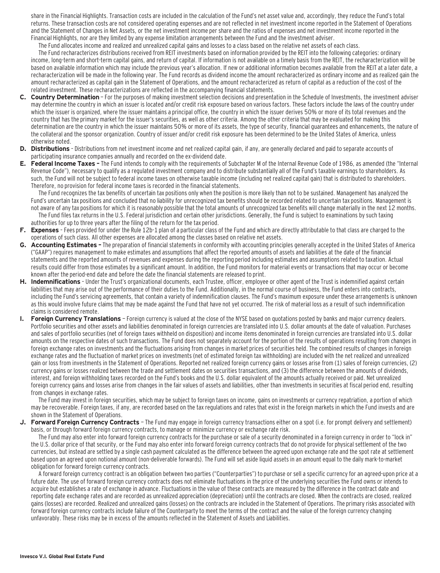share in the Financial Highlights. Transaction costs are included in the calculation of the Fund's net asset value and, accordingly, they reduce the Fund's total returns. These transaction costs are not considered operating expenses and are not reflected in net investment income reported in the Statement of Operations and the Statement of Changes in Net Assets, or the net investment income per share and the ratios of expenses and net investment income reported in the Financial Highlights, nor are they limited by any expense limitation arrangements between the Fund and the investment adviser.

The Fund allocates income and realized and unrealized capital gains and losses to a class based on the relative net assets of each class.

The Fund recharacterizes distributions received from REIT investments based on information provided by the REIT into the following categories: ordinary income, long-term and short-term capital gains, and return of capital. If information is not available on a timely basis from the REIT, the recharacterization will be based on available information which may include the previous year's allocation. If new or additional information becomes available from the REIT at a later date, a recharacterization will be made in the following year. The Fund records as dividend income the amount recharacterized as ordinary income and as realized gain the amount recharacterized as capital gain in the Statement of Operations, and the amount recharacterized as return of capital as a reduction of the cost of the related investment. These recharacterizations are reflected in the accompanying financial statements.

- **C. Country Determination**  For the purposes of making investment selection decisions and presentation in the Schedule of Investments, the investment adviser may determine the country in which an issuer is located and/or credit risk exposure based on various factors. These factors include the laws of the country under which the issuer is organized, where the issuer maintains a principal office, the country in which the issuer derives 50% or more of its total revenues and the country that has the primary market for the issuer's securities, as well as other criteria. Among the other criteria that may be evaluated for making this determination are the country in which the issuer maintains 50% or more of its assets, the type of security, financial guarantees and enhancements, the nature of the collateral and the sponsor organization. Country of issuer and/or credit risk exposure has been determined to be the United States of America, unless otherwise noted.
- **D. Distributions**  Distributions from net investment income and net realized capital gain, if any, are generally declared and paid to separate accounts of participating insurance companies annually and recorded on the ex-dividend date.
- **E. Federal Income Taxes** The Fund intends to comply with the requirements of Subchapter M of the Internal Revenue Code of 1986, as amended (the "Internal Revenue Code"), necessary to qualify as a regulated investment company and to distribute substantially all of the Fund's taxable earnings to shareholders. As such, the Fund will not be subject to federal income taxes on otherwise taxable income (including net realized capital gain) that is distributed to shareholders. Therefore, no provision for federal income taxes is recorded in the financial statements.

The Fund recognizes the tax benefits of uncertain tax positions only when the position is more likely than not to be sustained. Management has analyzed the Fund's uncertain tax positions and concluded that no liability for unrecognized tax benefits should be recorded related to uncertain tax positions. Management is not aware of any tax positions for which it is reasonably possible that the total amounts of unrecognized tax benefits will change materially in the next 12 months. The Fund files tax returns in the U.S. Federal jurisdiction and certain other jurisdictions. Generally, the Fund is subject to examinations by such taxing authorities for up to three years after the filing of the return for the tax period.

- **F. Expenses**  Fees provided for under the Rule 12b-1 plan of a particular class of the Fund and which are directly attributable to that class are charged to the operations of such class. All other expenses are allocated among the classes based on relative net assets.
- **G. Accounting Estimates** The preparation of financial statements in conformity with accounting principles generally accepted in the United States of America ("GAAP") requires management to make estimates and assumptions that affect the reported amounts of assets and liabilities at the date of the financial statements and the reported amounts of revenues and expenses during the reporting period including estimates and assumptions related to taxation. Actual results could differ from those estimates by a significant amount. In addition, the Fund monitors for material events or transactions that may occur or become known after the period-end date and before the date the financial statements are released to print.
- **H. Indemnifications**  Under the Trust's organizational documents, each Trustee, officer, employee or other agent of the Trust is indemnified against certain liabilities that may arise out of the performance of their duties to the Fund. Additionally, in the normal course of business, the Fund enters into contracts, including the Fund's servicing agreements, that contain a variety of indemnification clauses. The Fund's maximum exposure under these arrangements is unknown as this would involve future claims that may be made against the Fund that have not yet occurred. The risk of material loss as a result of such indemnification claims is considered remote.
- **I. Foreign Currency Translations**  Foreign currency is valued at the close of the NYSE based on quotations posted by banks and major currency dealers. Portfolio securities and other assets and liabilities denominated in foreign currencies are translated into U.S. dollar amounts at the date of valuation. Purchases and sales of portfolio securities (net of foreign taxes withheld on disposition) and income items denominated in foreign currencies are translated into U.S. dollar amounts on the respective dates of such transactions. The Fund does not separately account for the portion of the results of operations resulting from changes in foreign exchange rates on investments and the fluctuations arising from changes in market prices of securities held. The combined results of changes in foreign exchange rates and the fluctuation of market prices on investments (net of estimated foreign tax withholding) are included with the net realized and unrealized gain or loss from investments in the Statement of Operations. Reported net realized foreign currency gains or losses arise from (1) sales of foreign currencies, (2) currency gains or losses realized between the trade and settlement dates on securities transactions, and (3) the difference between the amounts of dividends, interest, and foreign withholding taxes recorded on the Fund's books and the U.S. dollar equivalent of the amounts actually received or paid. Net unrealized foreign currency gains and losses arise from changes in the fair values of assets and liabilities, other than investments in securities at fiscal period end, resulting from changes in exchange rates.

The Fund may invest in foreign securities, which may be subject to foreign taxes on income, gains on investments or currency repatriation, a portion of which may be recoverable. Foreign taxes, if any, are recorded based on the tax regulations and rates that exist in the foreign markets in which the Fund invests and are shown in the Statement of Operations.

**J. Forward Foreign Currency Contracts** — The Fund may engage in foreign currency transactions either on a spot (i.e. for prompt delivery and settlement) basis, or through forward foreign currency contracts, to manage or minimize currency or exchange rate risk.

The Fund may also enter into forward foreign currency contracts for the purchase or sale of a security denominated in a foreign currency in order to "lock in" the U.S. dollar price of that security, or the Fund may also enter into forward foreign currency contracts that do not provide for physical settlement of the two currencies, but instead are settled by a single cash payment calculated as the difference between the agreed upon exchange rate and the spot rate at settlement based upon an agreed upon notional amount (non-deliverable forwards). The Fund will set aside liquid assets in an amount equal to the daily mark-to-market obligation for forward foreign currency contracts.

A forward foreign currency contract is an obligation between two parties ("Counterparties") to purchase or sell a specific currency for an agreed-upon price at a future date. The use of forward foreign currency contracts does not eliminate fluctuations in the price of the underlying securities the Fund owns or intends to acquire but establishes a rate of exchange in advance. Fluctuations in the value of these contracts are measured by the difference in the contract date and reporting date exchange rates and are recorded as unrealized appreciation (depreciation) until the contracts are closed. When the contracts are closed, realized gains (losses) are recorded. Realized and unrealized gains (losses) on the contracts are included in the Statement of Operations. The primary risks associated with forward foreign currency contracts include failure of the Counterparty to meet the terms of the contract and the value of the foreign currency changing unfavorably. These risks may be in excess of the amounts reflected in the Statement of Assets and Liabilities.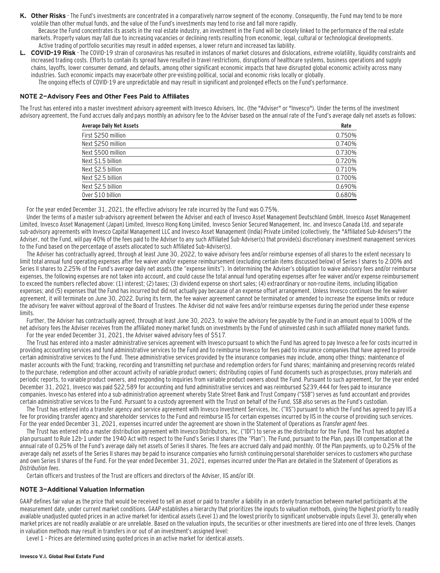K. Other Risks - The Fund's investments are concentrated in a comparatively narrow segment of the economy. Consequently, the Fund may tend to be more volatile than other mutual funds, and the value of the Fund's investments may tend to rise and fall more rapidly.

Because the Fund concentrates its assets in the real estate industry, an investment in the Fund will be closely linked to the performance of the real estate markets. Property values may fall due to increasing vacancies or declining rents resulting from economic, legal, cultural or technological developments. Active trading of portfolio securities may result in added expenses, a lower return and increased tax liability.

**L. COVID-19 Risk** - The COVID-19 strain of coronavirus has resulted in instances of market closures and dislocations, extreme volatility, liquidity constraints and increased trading costs. Efforts to contain its spread have resulted in travel restrictions, disruptions of healthcare systems, business operations and supply chains, layoffs, lower consumer demand, and defaults, among other significant economic impacts that have disrupted global economic activity across many industries. Such economic impacts may exacerbate other pre-existing political, social and economic risks locally or globally.

The ongoing effects of COVID-19 are unpredictable and may result in significant and prolonged effects on the Fund's performance.

#### **NOTE 2—Advisory Fees and Other Fees Paid to Affiliates**

The Trust has entered into a master investment advisory agreement with Invesco Advisers, Inc. (the "Adviser" or "Invesco"). Under the terms of the investment advisory agreement, the Fund accrues daily and pays monthly an advisory fee to the Adviser based on the annual rate of the Fund's average daily net assets as follows:

| <b>Average Daily Net Assets</b> | Rate   |
|---------------------------------|--------|
| First \$250 million             | 0.750% |
| Next \$250 million              | 0.740% |
| Next \$500 million              | 0.730% |
| Next \$1.5 billion              | 0.720% |
| Next \$2.5 billion              | 0.710% |
| Next \$2.5 billion              | 0.700% |
| Next \$2.5 billion              | 0.690% |
| Over \$10 billion               | 0.680% |

For the year ended December 31, 2021, the effective advisory fee rate incurred by the Fund was 0.75%.

Under the terms of a master sub-advisory agreement between the Adviser and each of Invesco Asset Management Deutschland GmbH, Invesco Asset Management Limited, Invesco Asset Management (Japan) Limited, Invesco Hong Kong Limited, Invesco Senior Secured Management, Inc. and Invesco Canada Ltd. and separate sub-advisory agreements with Invesco Capital Management LLC and Invesco Asset Management (India) Private Limited (collectively, the "Affiliated Sub-Advisers") the Adviser, not the Fund, will pay 40% of the fees paid to the Adviser to any such Affiliated Sub-Adviser(s) that provide(s) discretionary investment management services to the Fund based on the percentage of assets allocated to such Affiliated Sub-Adviser(s).

The Adviser has contractually agreed, through at least June 30, 2022, to waive advisory fees and/or reimburse expenses of all shares to the extent necessary to limit total annual fund operating expenses after fee waiver and/or expense reimbursement (excluding certain items discussed below) of Series I shares to 2.00% and Series II shares to 2.25% of the Fund's average daily net assets (the "expense limits"). In determining the Adviser's obligation to waive advisory fees and/or reimburse expenses, the following expenses are not taken into account, and could cause the total annual fund operating expenses after fee waiver and/or expense reimbursement to exceed the numbers reflected above: (1) interest; (2) taxes; (3) dividend expense on short sales; (4) extraordinary or non-routine items, including litigation expenses; and (5) expenses that the Fund has incurred but did not actually pay because of an expense offset arrangement. Unless Invesco continues the fee waiver agreement, it will terminate on June 30, 2022. During its term, the fee waiver agreement cannot be terminated or amended to increase the expense limits or reduce the advisory fee waiver without approval of the Board of Trustees. The Adviser did not waive fees and/or reimburse expenses during the period under these expense limits.

Further, the Adviser has contractually agreed, through at least June 30, 2023, to waive the advisory fee payable by the Fund in an amount equal to 100% of the net advisory fees the Adviser receives from the affiliated money market funds on investments by the Fund of uninvested cash in such affiliated money market funds. For the year ended December 31, 2021, the Adviser waived advisory fees of \$517.

The Trust has entered into a master administrative services agreement with Invesco pursuant to which the Fund has agreed to pay Invesco a fee for costs incurred in providing accounting services and fund administrative services to the Fund and to reimburse Invesco for fees paid to insurance companies that have agreed to provide certain administrative services to the Fund. These administrative services provided by the insurance companies may include, among other things: maintenance of master accounts with the Fund; tracking, recording and transmitting net purchase and redemption orders for Fund shares; maintaining and preserving records related to the purchase, redemption and other account activity of variable product owners; distributing copies of Fund documents such as prospectuses, proxy materials and periodic reports, to variable product owners, and responding to inquiries from variable product owners about the Fund. Pursuant to such agreement, for the year ended December 31, 2021, Invesco was paid \$22,589 for accounting and fund administrative services and was reimbursed \$239,444 for fees paid to insurance companies. Invesco has entered into a sub-administration agreement whereby State Street Bank and Trust Company ("SSB") serves as fund accountant and provides certain administrative services to the Fund. Pursuant to a custody agreement with the Trust on behalf of the Fund, SSB also serves as the Fund's custodian.

The Trust has entered into a transfer agency and service agreement with Invesco Investment Services, Inc. ("IIS") pursuant to which the Fund has agreed to pay IIS a fee for providing transfer agency and shareholder services to the Fund and reimburse IIS for certain expenses incurred by IIS in the course of providing such services. For the year ended December 31, 2021, expenses incurred under the agreement are shown in the Statement of Operations as Transfer agent fees.

The Trust has entered into a master distribution agreement with Invesco Distributors, Inc. ("IDI") to serve as the distributor for the Fund. The Trust has adopted a plan pursuant to Rule 12b-1 under the 1940 Act with respect to the Fund's Series II shares (the "Plan"). The Fund, pursuant to the Plan, pays IDI compensation at the annual rate of 0.25% of the Fund's average daily net assets of Series II shares. The fees are accrued daily and paid monthly. Of the Plan payments, up to 0.25% of the average daily net assets of the Series II shares may be paid to insurance companies who furnish continuing personal shareholder services to customers who purchase and own Series II shares of the Fund. For the year ended December 31, 2021, expenses incurred under the Plan are detailed in the Statement of Operations as Distribution fees.

Certain officers and trustees of the Trust are officers and directors of the Adviser, IIS and/or IDI.

#### **NOTE 3—Additional Valuation Information**

GAAP defines fair value as the price that would be received to sell an asset or paid to transfer a liability in an orderly transaction between market participants at the measurement date, under current market conditions. GAAP establishes a hierarchy that prioritizes the inputs to valuation methods, giving the highest priority to readily available unadjusted quoted prices in an active market for identical assets (Level 1) and the lowest priority to significant unobservable inputs (Level 3), generally when market prices are not readily available or are unreliable. Based on the valuation inputs, the securities or other investments are tiered into one of three levels. Changes in valuation methods may result in transfers in or out of an investment's assigned level:

Level 1 – Prices are determined using quoted prices in an active market for identical assets.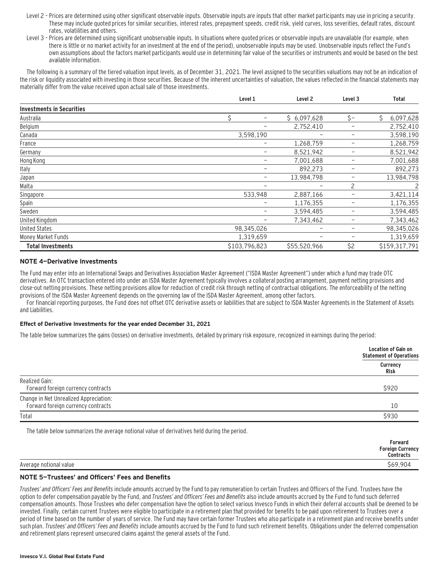- Level 2 Prices are determined using other significant observable inputs. Observable inputs are inputs that other market participants may use in pricing a security. These may include quoted prices for similar securities, interest rates, prepayment speeds, credit risk, yield curves, loss severities, default rates, discount rates, volatilities and others.
- Level 3 Prices are determined using significant unobservable inputs. In situations where quoted prices or observable inputs are unavailable (for example, when there is little or no market activity for an investment at the end of the period), unobservable inputs may be used. Unobservable inputs reflect the Fund's own assumptions about the factors market participants would use in determining fair value of the securities or instruments and would be based on the best available information.

The following is a summary of the tiered valuation input levels, as of December 31, 2021. The level assigned to the securities valuations may not be an indication of the risk or liquidity associated with investing in those securities. Because of the inherent uncertainties of valuation, the values reflected in the financial statements may materially differ from the value received upon actual sale of those investments.

|                                  | Level 1               | Level <sub>2</sub>       | Level 3                  | <b>Total</b>   |
|----------------------------------|-----------------------|--------------------------|--------------------------|----------------|
| <b>Investments in Securities</b> |                       |                          |                          |                |
| Australia                        | Ś.<br>$\qquad \qquad$ | \$6,097,628              | $\zeta$ -                | Ś<br>6,097,628 |
| Belgium                          |                       | 2,752,410                | $\qquad \qquad -$        | 2,752,410      |
| Canada                           | 3,598,190             | -                        | -                        | 3,598,190      |
| France                           | $\qquad \qquad -$     | 1,268,759                | $\overline{\phantom{m}}$ | 1,268,759      |
| Germany                          | $\qquad \qquad -$     | 8,521,942                | $\overline{\phantom{m}}$ | 8,521,942      |
| Hong Kong                        | -                     | 7,001,688                | -                        | 7,001,688      |
| Italy                            | -                     | 892,273                  | $\overline{\phantom{m}}$ | 892,273        |
| Japan                            | -                     | 13,984,798               | $\overline{\phantom{0}}$ | 13,984,798     |
| Malta                            | -                     | -                        | 2                        | 2              |
| Singapore                        | 533,948               | 2,887,166                | -                        | 3,421,114      |
| Spain                            | -                     | 1,176,355                | $\qquad \qquad -$        | 1,176,355      |
| Sweden                           | -                     | 3,594,485                | $\overline{\phantom{0}}$ | 3,594,485      |
| United Kingdom                   |                       | 7,343,462                |                          | 7,343,462      |
| <b>United States</b>             | 98,345,026            | $\overline{\phantom{0}}$ | $\qquad \qquad -$        | 98,345,026     |
| Money Market Funds               | 1,319,659             | $\overline{\phantom{0}}$ | -                        | 1,319,659      |
| <b>Total Investments</b>         | \$103,796,823         | \$55,520,966             | \$2                      | \$159,317,791  |

#### **NOTE 4—Derivative Investments**

The Fund may enter into an International Swaps and Derivatives Association Master Agreement ("ISDA Master Agreement") under which a fund may trade OTC derivatives. An OTC transaction entered into under an ISDA Master Agreement typically involves a collateral posting arrangement, payment netting provisions and close-out netting provisions. These netting provisions allow for reduction of credit risk through netting of contractual obligations. The enforceability of the netting provisions of the ISDA Master Agreement depends on the governing law of the ISDA Master Agreement, among other factors.

For financial reporting purposes, the Fund does not offset OTC derivative assets or liabilities that are subject to ISDA Master Agreements in the Statement of Assets and Liabilities.

#### **Effect of Derivative Investments for the year ended December 31, 2021**

The table below summarizes the gains (losses) on derivative investments, detailed by primary risk exposure, recognized in earnings during the period:

|                                                                              | <b>Location of Gain on</b><br><b>Statement of Operations</b> |
|------------------------------------------------------------------------------|--------------------------------------------------------------|
|                                                                              | Currency<br>Risk                                             |
| Realized Gain:<br>Forward foreign currency contracts                         | \$920                                                        |
| Change in Net Unrealized Appreciation:<br>Forward foreign currency contracts | 10                                                           |
| Total                                                                        | <b>\$930</b>                                                 |

The table below summarizes the average notional value of derivatives held during the period.

|                        | Forward<br><b>Foreign Currency</b><br>Contracts |
|------------------------|-------------------------------------------------|
| Average notional value | \$69,904                                        |
|                        |                                                 |

#### **NOTE 5—Trustees' and Officers' Fees and Benefits**

Trustees' and Officers' Fees and Benefits include amounts accrued by the Fund to pay remuneration to certain Trustees and Officers of the Fund. Trustees have the option to defer compensation payable by the Fund, and Trustees' and Officers' Fees and Benefits also include amounts accrued by the Fund to fund such deferred compensation amounts. Those Trustees who defer compensation have the option to select various Invesco Funds in which their deferral accounts shall be deemed to be invested. Finally, certain current Trustees were eligible to participate in a retirement plan that provided for benefits to be paid upon retirement to Trustees over a period of time based on the number of years of service. The Fund may have certain former Trustees who also participate in a retirement plan and receive benefits under such plan. Trustees' and Officers' Fees and Benefits include amounts accrued by the Fund to fund such retirement benefits. Obligations under the deferred compensation and retirement plans represent unsecured claims against the general assets of the Fund.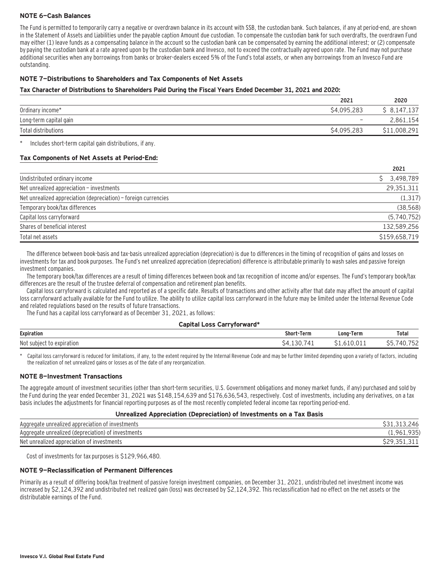#### **NOTE 6—Cash Balances**

The Fund is permitted to temporarily carry a negative or overdrawn balance in its account with SSB, the custodian bank. Such balances, if any at period-end, are shown in the Statement of Assets and Liabilities under the payable caption Amount due custodian. To compensate the custodian bank for such overdrafts, the overdrawn Fund may either (1) leave funds as a compensating balance in the account so the custodian bank can be compensated by earning the additional interest; or (2) compensate by paying the custodian bank at a rate agreed upon by the custodian bank and Invesco, not to exceed the contractually agreed upon rate. The Fund may not purchase additional securities when any borrowings from banks or broker-dealers exceed 5% of the Fund's total assets, or when any borrowings from an Invesco Fund are outstanding.

### **NOTE 7—Distributions to Shareholders and Tax Components of Net Assets**

#### **Tax Character of Distributions to Shareholders Paid During the Fiscal Years Ended December 31, 2021 and 2020:**

|                        | 2021              | 2020         |
|------------------------|-------------------|--------------|
| Ordinary income*       | \$4,095,283       | \$8,147,137  |
| Long-term capital gain | $\qquad \qquad =$ | 2,861,154    |
| Total distributions    | \$4,095,283       | \$11,008,291 |

Includes short-term capital gain distributions, if any.

#### **Tax Components of Net Assets at Period-End:**

|                                                                 | 2021          |
|-----------------------------------------------------------------|---------------|
| Undistributed ordinary income                                   | \$3,498,789   |
| Net unrealized appreciation - investments                       | 29,351,311    |
| Net unrealized appreciation (depreciation) - foreign currencies | (1, 317)      |
| Temporary book/tax differences                                  | (38, 568)     |
| Capital loss carryforward                                       | (5,740,752)   |
| Shares of beneficial interest                                   | 132.589.256   |
| Total net assets                                                | \$159,658,719 |

The difference between book-basis and tax-basis unrealized appreciation (depreciation) is due to differences in the timing of recognition of gains and losses on investments for tax and book purposes. The Fund's net unrealized appreciation (depreciation) difference is attributable primarily to wash sales and passive foreign investment companies.

The temporary book/tax differences are a result of timing differences between book and tax recognition of income and/or expenses. The Fund's temporary book/tax differences are the result of the trustee deferral of compensation and retirement plan benefits.

Capital loss carryforward is calculated and reported as of a specific date. Results of transactions and other activity after that date may affect the amount of capital loss carryforward actually available for the Fund to utilize. The ability to utilize capital loss carryforward in the future may be limited under the Internal Revenue Code and related regulations based on the results of future transactions.

The Fund has a capital loss carryforward as of December 31, 2021, as follows:

#### **Capital Loss Carryforward\***

| <b>Expiration</b>         | Shor'<br>Term                           | Term<br>Long-      | Total                             |
|---------------------------|-----------------------------------------|--------------------|-----------------------------------|
| Not subject<br>expiration | -<br>3 I<br>$\prime$<br>$\prime$<br>. . | $\sim$ $\sim$<br>. | $- - -$<br>≀4 ∖<br>ے ر<br>᠇୰<br>↩ |

Capital loss carryforward is reduced for limitations, if any, to the extent required by the Internal Revenue Code and may be further limited depending upon a variety of factors, including the realization of net unrealized gains or losses as of the date of any reorganization.

#### **NOTE 8—Investment Transactions**

The aggregate amount of investment securities (other than short-term securities, U.S. Government obligations and money market funds, if any) purchased and sold by the Fund during the year ended December 31, 2021 was \$148,154,639 and \$176,636,543, respectively. Cost of investments, including any derivatives, on a tax basis includes the adjustments for financial reporting purposes as of the most recently completed federal income tax reporting period-end.

#### **Unrealized Appreciation (Depreciation) of Investments on a Tax Basis**

| Aggregate unrealized appreciation of investments   | ?46        |
|----------------------------------------------------|------------|
| Aggregate unrealized (depreciation) of investments | u۴         |
| Net unrealized appreciation of investments         | VLJ.JI.JII |

Cost of investments for tax purposes is \$129,966,480.

#### **NOTE 9—Reclassification of Permanent Differences**

Primarily as a result of differing book/tax treatment of passive foreign investment companies, on December 31, 2021, undistributed net investment income was increased by \$2,124,392 and undistributed net realized gain (loss) was decreased by \$2,124,392. This reclassification had no effect on the net assets or the distributable earnings of the Fund.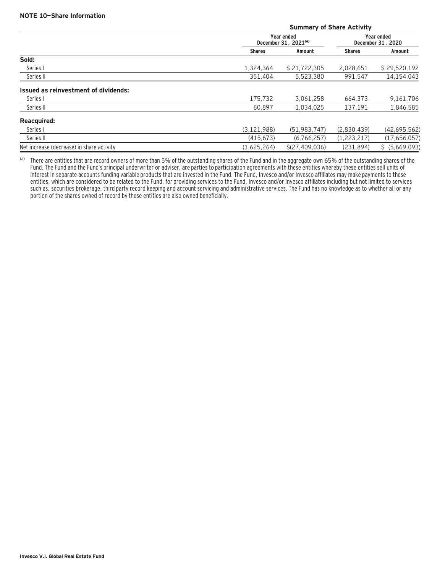|                                           |               | <b>Summary of Share Activity</b>     |               |                                 |  |  |  |
|-------------------------------------------|---------------|--------------------------------------|---------------|---------------------------------|--|--|--|
|                                           |               | Year ended<br>December 31, $2021(a)$ |               | Year ended<br>December 31, 2020 |  |  |  |
|                                           | <b>Shares</b> | Amount                               | <b>Shares</b> | Amount                          |  |  |  |
| Sold:                                     |               |                                      |               |                                 |  |  |  |
| Series I                                  | 1.324.364     | \$21,722,305                         | 2,028,651     | \$29,520,192                    |  |  |  |
| Series II                                 | 351,404       | 5,523,380                            | 991,547       | 14,154,043                      |  |  |  |
| Issued as reinvestment of dividends:      |               |                                      |               |                                 |  |  |  |
| Series I                                  | 175.732       | 3.061.258                            | 664.373       | 9,161,706                       |  |  |  |
| Series II                                 | 60.897        | 1.034.025                            | 137,191       | 1,846,585                       |  |  |  |
| <b>Reacquired:</b>                        |               |                                      |               |                                 |  |  |  |
| Series I                                  | (3, 121, 988) | (51.983.747)                         | (2.830.439)   | (42, 695, 562)                  |  |  |  |
| Series II                                 | (415, 673)    | (6,766,257)                          | (1,223,217)   | (17,656,057)                    |  |  |  |
| Net increase (decrease) in share activity | (1,625,264)   | \$(27, 409, 036)                     | (231, 894)    | \$ (5,669,093)                  |  |  |  |

(a) There are entities that are record owners of more than 5% of the outstanding shares of the Fund and in the aggregate own 65% of the outstanding shares of the Fund. The Fund and the Fund's principal underwriter or adviser, are parties to participation agreements with these entities whereby these entities sell units of interest in separate accounts funding variable products that are invested in the Fund. The Fund, Invesco and/or Invesco affiliates may make payments to these entities, which are considered to be related to the Fund, for providing services to the Fund, Invesco and/or Invesco affiliates including but not limited to services such as, securities brokerage, third party record keeping and account servicing and administrative services. The Fund has no knowledge as to whether all or any portion of the shares owned of record by these entities are also owned beneficially.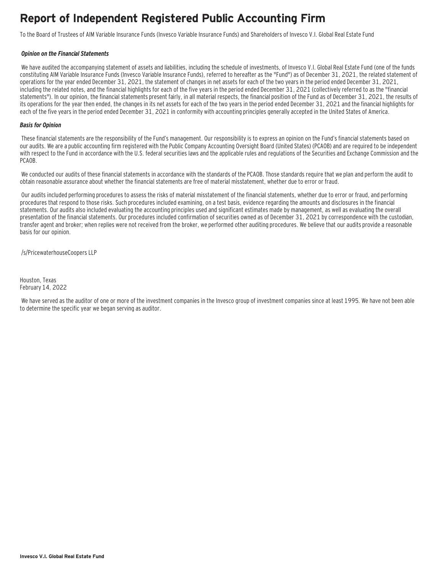### **Report of Independent Registered Public Accounting Firm**

To the Board of Trustees of AIM Variable Insurance Funds (Invesco Variable Insurance Funds) and Shareholders of Invesco V.I. Global Real Estate Fund

#### **Opinion on the Financial Statements**

We have audited the accompanying statement of assets and liabilities, including the schedule of investments, of Invesco V.I. Global Real Estate Fund (one of the funds constituting AIM Variable Insurance Funds (Invesco Variable Insurance Funds), referred to hereafter as the "Fund") as of December 31, 2021, the related statement of operations for the year ended December 31, 2021, the statement of changes in net assets for each of the two years in the period ended December 31, 2021, including the related notes, and the financial highlights for each of the five years in the period ended December 31, 2021 (collectively referred to as the "financial statements"). In our opinion, the financial statements present fairly, in all material respects, the financial position of the Fund as of December 31, 2021, the results of its operations for the year then ended, the changes in its net assets for each of the two years in the period ended December 31, 2021 and the financial highlights for each of the five years in the period ended December 31, 2021 in conformity with accounting principles generally accepted in the United States of America.

#### **Basis for Opinion**

These financial statements are the responsibility of the Fund's management. Our responsibility is to express an opinion on the Fund's financial statements based on our audits. We are a public accounting firm registered with the Public Company Accounting Oversight Board (United States) (PCAOB) and are required to be independent with respect to the Fund in accordance with the U.S. federal securities laws and the applicable rules and regulations of the Securities and Exchange Commission and the PCAOB.

We conducted our audits of these financial statements in accordance with the standards of the PCAOB. Those standards require that we plan and perform the audit to obtain reasonable assurance about whether the financial statements are free of material misstatement, whether due to error or fraud.

 Our audits included performing procedures to assess the risks of material misstatement of the financial statements, whether due to error or fraud, and performing procedures that respond to those risks. Such procedures included examining, on a test basis, evidence regarding the amounts and disclosures in the financial statements. Our audits also included evaluating the accounting principles used and significant estimates made by management, as well as evaluating the overall presentation of the financial statements. Our procedures included confirmation of securities owned as of December 31, 2021 by correspondence with the custodian, transfer agent and broker; when replies were not received from the broker, we performed other auditing procedures. We believe that our audits provide a reasonable basis for our opinion.

/s/PricewaterhouseCoopers LLP

Houston, Texas February 14, 2022

 We have served as the auditor of one or more of the investment companies in the Invesco group of investment companies since at least 1995. We have not been able to determine the specific year we began serving as auditor.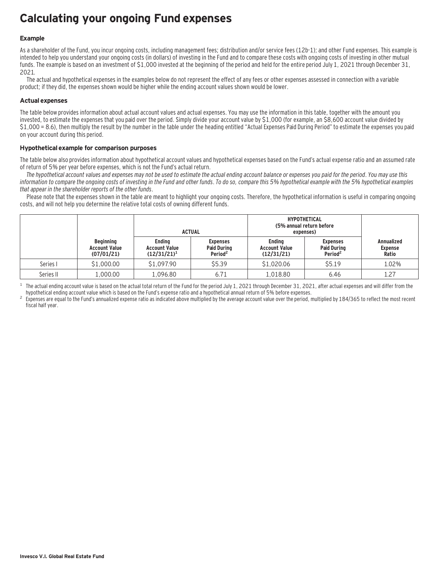### **Calculating your ongoing Fund expenses**

#### **Example**

As a shareholder of the Fund, you incur ongoing costs, including management fees; distribution and/or service fees (12b-1); and other Fund expenses. This example is intended to help you understand your ongoing costs (in dollars) of investing in the Fund and to compare these costs with ongoing costs of investing in other mutual funds. The example is based on an investment of \$1,000 invested at the beginning of the period and held for the entire period July 1, 2021 through December 31, 2021.

The actual and hypothetical expenses in the examples below do not represent the effect of any fees or other expenses assessed in connection with a variable product; if they did, the expenses shown would be higher while the ending account values shown would be lower.

#### **Actual expenses**

The table below provides information about actual account values and actual expenses. You may use the information in this table, together with the amount you invested, to estimate the expenses that you paid over the period. Simply divide your account value by \$1,000 (for example, an \$8,600 account value divided by \$1,000 = 8.6), then multiply the result by the number in the table under the heading entitled "Actual Expenses Paid During Period" to estimate the expenses you paid on your account during this period.

#### **Hypothetical example for comparison purposes**

The table below also provides information about hypothetical account values and hypothetical expenses based on the Fund's actual expense ratio and an assumed rate of return of 5% per year before expenses, which is not the Fund's actual return.

The hypothetical account values and expenses may not be used to estimate the actual ending account balance or expenses you paid for the period. You may use this information to compare the ongoing costs of investing in the Fund and other funds. To do so, compare this 5% hypothetical example with the 5% hypothetical examples that appear in the shareholder reports of the other funds.

Please note that the expenses shown in the table are meant to highlight your ongoing costs. Therefore, the hypothetical information is useful in comparing ongoing costs, and will not help you determine the relative total costs of owning different funds.

|           |                                                        | <b>ACTUAL</b>                                           |                                                              | <b>HYPOTHETICAL</b><br>(5% annual return before<br>expenses) |                                                              |                                              |  |
|-----------|--------------------------------------------------------|---------------------------------------------------------|--------------------------------------------------------------|--------------------------------------------------------------|--------------------------------------------------------------|----------------------------------------------|--|
|           | <b>Beginning</b><br><b>Account Value</b><br>(07/01/21) | <b>Endina</b><br><b>Account Value</b><br>$(12/31/21)^1$ | <b>Expenses</b><br><b>Paid During</b><br>Period <sup>2</sup> | <b>Endina</b><br><b>Account Value</b><br>(12/31/21)          | <b>Expenses</b><br><b>Paid During</b><br>Period <sup>2</sup> | <b>Annualized</b><br><b>Expense</b><br>Ratio |  |
| Series I  | \$1,000.00                                             | \$1,097.90                                              | \$5.39                                                       | \$1,020.06                                                   | \$5.19                                                       | 1.02%                                        |  |
| Series II | 1,000.00                                               | 1,096.80                                                | 6.71                                                         | 1,018.80                                                     | 6.46                                                         | 1.27                                         |  |

<sup>1</sup> The actual ending account value is based on the actual total return of the Fund for the period July 1, 2021 through December 31, 2021, after actual expenses and will differ from the hupothetical ending account value w

Expenses are equal to the Fund's annualized expense ratio as indicated above multiplied by the average account value over the period, multiplied by 184/365 to reflect the most recent fiscal half year.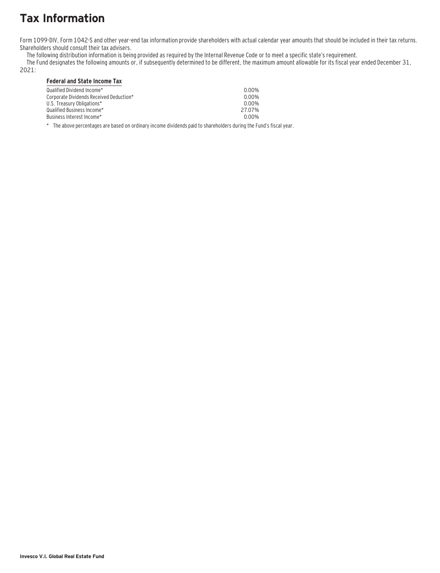# **Tax Information**

Form 1099-DIV, Form 1042-S and other year–end tax information provide shareholders with actual calendar year amounts that should be included in their tax returns. Shareholders should consult their tax advisers.

The following distribution information is being provided as required by the Internal Revenue Code or to meet a specific state's requirement.

The Fund designates the following amounts or, if subsequently determined to be different, the maximum amount allowable for its fiscal year ended December 31,

### 2021:

### **Federal and State Income Tax**

| Qualified Dividend Income*_<br>Corporate Dividends Received Deduction*<br>U.S. Treasury Obligations*<br>Oualified Business Income* .<br>Business Interest Income*_ | 0.00%<br>0.00%<br>0.00%<br>2707%<br>0.00% |
|--------------------------------------------------------------------------------------------------------------------------------------------------------------------|-------------------------------------------|
|                                                                                                                                                                    |                                           |
|                                                                                                                                                                    |                                           |

\* The above percentages are based on ordinary income dividends paid to shareholders during the Fund's fiscal year.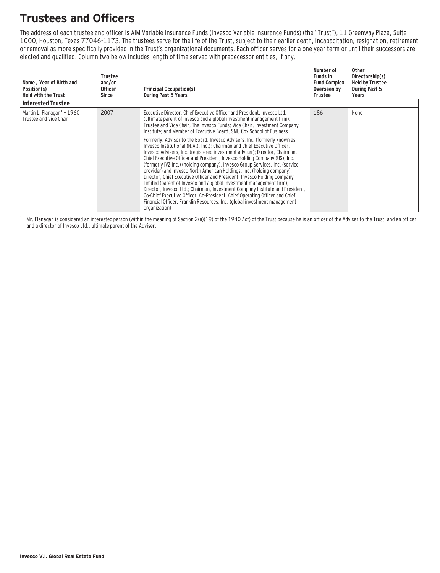### **Trustees and Officers**

The address of each trustee and officer is AIM Variable Insurance Funds (Invesco Variable Insurance Funds) (the "Trust"), 11 Greenway Plaza, Suite 1000, Houston, Texas 77046-1173. The trustees serve for the life of the Trust, subject to their earlier death, incapacitation, resignation, retirement or removal as more specifically provided in the Trust's organizational documents. Each officer serves for a one year term or until their successors are elected and qualified. Column two below includes length of time served with predecessor entities, if any.

| Name, Year of Birth and<br>Position(s)<br><b>Held with the Trust</b> | Trustee<br>and/or<br><b>Officer</b><br>Since | <b>Principal Occupation(s)</b><br><b>During Past 5 Years</b>                                                                                                                                                                                                                                                                                                                                                                                                                                                                                                                                                                                                                                                                                                                                                                                                                                                                                                                                                                                                                                                                                                                                             | Number of<br><b>Funds in</b><br><b>Fund Complex</b><br>Overseen by<br>Trustee | Other<br>Directorship(s)<br><b>Held by Trustee</b><br><b>During Past 5</b><br>Years |
|----------------------------------------------------------------------|----------------------------------------------|----------------------------------------------------------------------------------------------------------------------------------------------------------------------------------------------------------------------------------------------------------------------------------------------------------------------------------------------------------------------------------------------------------------------------------------------------------------------------------------------------------------------------------------------------------------------------------------------------------------------------------------------------------------------------------------------------------------------------------------------------------------------------------------------------------------------------------------------------------------------------------------------------------------------------------------------------------------------------------------------------------------------------------------------------------------------------------------------------------------------------------------------------------------------------------------------------------|-------------------------------------------------------------------------------|-------------------------------------------------------------------------------------|
| <b>Interested Trustee</b>                                            |                                              |                                                                                                                                                                                                                                                                                                                                                                                                                                                                                                                                                                                                                                                                                                                                                                                                                                                                                                                                                                                                                                                                                                                                                                                                          |                                                                               |                                                                                     |
| Martin L. Flanagan $1$ – 1960<br>Trustee and Vice Chair              | 2007                                         | Executive Director, Chief Executive Officer and President, Invesco Ltd.<br>(ultimate parent of Invesco and a global investment management firm);<br>Trustee and Vice Chair, The Invesco Funds; Vice Chair, Investment Company<br>Institute; and Member of Executive Board, SMU Cox School of Business<br>Formerly: Advisor to the Board, Invesco Advisers, Inc. (formerly known as<br>Invesco Institutional (N.A.), Inc.): Chairman and Chief Executive Officer.<br>Invesco Advisers, Inc. (registered investment adviser); Director, Chairman,<br>Chief Executive Officer and President, Invesco Holding Company (US), Inc.<br>(formerly IVZ Inc.) (holding company), Invesco Group Services, Inc. (service<br>provider) and Invesco North American Holdings, Inc. (holding company);<br>Director, Chief Executive Officer and President, Invesco Holding Company<br>Limited (parent of Invesco and a global investment management firm);<br>Director, Invesco Ltd.; Chairman, Investment Company Institute and President,<br>Co-Chief Executive Officer, Co-President, Chief Operating Officer and Chief<br>Financial Officer, Franklin Resources, Inc. (global investment management<br>organization) | 186                                                                           | None                                                                                |

 $1$  Mr. Flanagan is considered an interested person (within the meaning of Section 2(a)(19) of the 1940 Act) of the Trust because he is an officer of the Adviser to the Trust, and an officer and a director of Invesco Ltd., ultimate parent of the Adviser.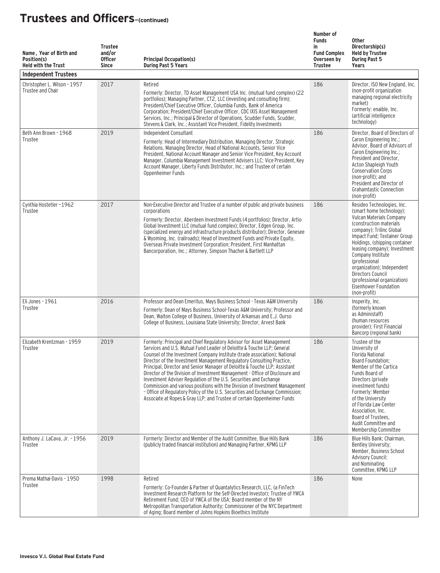| Name, Year of Birth and<br>Position(s)<br><b>Held with the Trust</b><br><b>Independent Trustees</b> | <b>Trustee</b><br>and/or<br><b>Officer</b><br><b>Since</b> | <b>Principal Occupation(s)</b><br><b>During Past 5 Years</b>                                                                                                                                                                                                                                                                                                                                                                                                                                                                                                                                                                                                                                                                                                                        | Number of<br><b>Funds</b><br>in<br><b>Fund Complex</b><br>Overseen by<br><b>Trustee</b> | <b>Other</b><br>Directorship(s)<br><b>Held by Trustee</b><br><b>During Past 5</b><br>Years                                                                                                                                                                                                                                                                                                                   |
|-----------------------------------------------------------------------------------------------------|------------------------------------------------------------|-------------------------------------------------------------------------------------------------------------------------------------------------------------------------------------------------------------------------------------------------------------------------------------------------------------------------------------------------------------------------------------------------------------------------------------------------------------------------------------------------------------------------------------------------------------------------------------------------------------------------------------------------------------------------------------------------------------------------------------------------------------------------------------|-----------------------------------------------------------------------------------------|--------------------------------------------------------------------------------------------------------------------------------------------------------------------------------------------------------------------------------------------------------------------------------------------------------------------------------------------------------------------------------------------------------------|
| Christopher L. Wilson - 1957<br>Trustee and Chair                                                   | 2017                                                       | Retired<br>Formerly: Director, TD Asset Management USA Inc. (mutual fund complex) (22<br>portfolios); Managing Partner, CT2, LLC (investing and consulting firm);<br>President/Chief Executive Officer, Columbia Funds, Bank of America<br>Corporation; President/Chief Executive Officer, CDC IXIS Asset Management<br>Services, Inc.; Principal & Director of Operations, Scudder Funds, Scudder,<br>Stevens & Clark, Inc.; Assistant Vice President, Fidelity Investments                                                                                                                                                                                                                                                                                                        | 186                                                                                     | Director, ISO New England, Inc.<br>(non-profit organization<br>managing regional electricity<br>market)<br>Formerly: enaible, Inc.<br>(artificial intelligence<br>technology)                                                                                                                                                                                                                                |
| Beth Ann Brown - 1968<br>Trustee                                                                    | 2019                                                       | Independent Consultant<br>Formerly: Head of Intermediary Distribution, Managing Director, Strategic<br>Relations, Managing Director, Head of National Accounts, Senior Vice<br>President, National Account Manager and Senior Vice President, Key Account<br>Manager, Columbia Management Investment Advisers LLC; Vice President, Key<br>Account Manager, Liberty Funds Distributor, Inc.; and Trustee of certain<br>Oppenheimer Funds                                                                                                                                                                                                                                                                                                                                             | 186                                                                                     | Director, Board of Directors of<br>Caron Engineering Inc.;<br>Advisor, Board of Advisors of<br>Caron Engineering Inc.;<br>President and Director,<br>Acton Shapleigh Youth<br><b>Conservation Corps</b><br>(non-profit); and<br>President and Director of<br><b>Grahamtastic Connection</b><br>(non-profit)                                                                                                  |
| Cynthia Hostetler-1962<br>Trustee                                                                   | 2017                                                       | Non-Executive Director and Trustee of a number of public and private business<br>corporations<br>Formerly: Director, Aberdeen Investment Funds (4 portfolios); Director, Artio<br>Global Investment LLC (mutual fund complex); Director, Edgen Group, Inc.<br>(specialized energy and infrastructure products distributor); Director, Genesee<br>& Wyoming, Inc. (railroads); Head of Investment Funds and Private Equity,<br>Overseas Private Investment Corporation; President, First Manhattan<br>Bancorporation, Inc.; Attorney, Simpson Thacher & Bartlett LLP                                                                                                                                                                                                                 | 186                                                                                     | Resideo Technologies, Inc.<br>(smart home technology);<br>Vulcan Materials Company<br>(construction materials)<br>company); Trilinc Global<br>Impact Fund; Textainer Group<br>Holdings, (shipping container<br>leasing company); Investment<br>Company Institute<br>(professional<br>organization); Independent<br>Directors Council<br>(professional organization)<br>Eisenhower Foundation<br>(non-profit) |
| Eli Jones - 1961<br>Trustee                                                                         | 2016                                                       | Professor and Dean Emeritus, Mays Business School - Texas A&M University<br>Formerly: Dean of Mays Business School-Texas A&M University; Professor and<br>Dean, Walton College of Business, University of Arkansas and E.J. Ourso<br>College of Business, Louisiana State University; Director, Arvest Bank                                                                                                                                                                                                                                                                                                                                                                                                                                                                         | 186                                                                                     | Insperity, Inc.<br>(formerly known)<br>as Administaff)<br>(human resources<br>provider): First Financial<br>Bancorp (regional bank)                                                                                                                                                                                                                                                                          |
| Elizabeth Krentzman - 1959<br>Trustee                                                               | 2019                                                       | Formerly: Principal and Chief Regulatory Advisor for Asset Management<br>Services and U.S. Mutual Fund Leader of Deloitte & Touche LLP: General<br>Counsel of the Investment Company Institute (trade association); National<br>Director of the Investment Management Regulatory Consulting Practice,<br>Principal, Director and Senior Manager of Deloitte & Touche LLP; Assistant<br>Director of the Division of Investment Management - Office of Disclosure and<br>Investment Adviser Regulation of the U.S. Securities and Exchange<br>Commission and various positions with the Division of Investment Management<br>- Office of Regulatory Policy of the U.S. Securities and Exchange Commission;<br>Associate at Ropes & Gray LLP; and Trustee of certain Oppenheimer Funds | 186                                                                                     | Trustee of the<br>University of<br><b>Florida National</b><br>Board Foundation;<br>Member of the Cartica<br>Funds Board of<br>Directors (private<br>investment funds)<br>Formerly: Member<br>of the University<br>of Florida Law Center<br>Association, Inc.<br>Board of Trustees,<br>Audit Committee and<br>Membership Committee                                                                            |
| Anthony J. LaCava, Jr. - 1956<br>Trustee                                                            | 2019                                                       | Formerly: Director and Member of the Audit Committee, Blue Hills Bank<br>(publicly traded financial institution) and Managing Partner, KPMG LLP                                                                                                                                                                                                                                                                                                                                                                                                                                                                                                                                                                                                                                     | 186                                                                                     | Blue Hills Bank; Chairman,<br>Bentley University;<br>Member, Business School<br><b>Advisory Council;</b><br>and Nominating<br>Committee, KPMG LLP                                                                                                                                                                                                                                                            |
| Prema Mathai-Davis - 1950<br>Trustee                                                                | 1998                                                       | Retired<br>Formerly: Co-Founder & Partner of Quantalytics Research, LLC, (a FinTech<br>Investment Research Platform for the Self-Directed Investor); Trustee of YWCA<br>Retirement Fund; CEO of YWCA of the USA; Board member of the NY<br>Metropolitan Transportation Authority; Commissioner of the NYC Department<br>of Aging; Board member of Johns Hopkins Bioethics Institute                                                                                                                                                                                                                                                                                                                                                                                                 | 186                                                                                     | None                                                                                                                                                                                                                                                                                                                                                                                                         |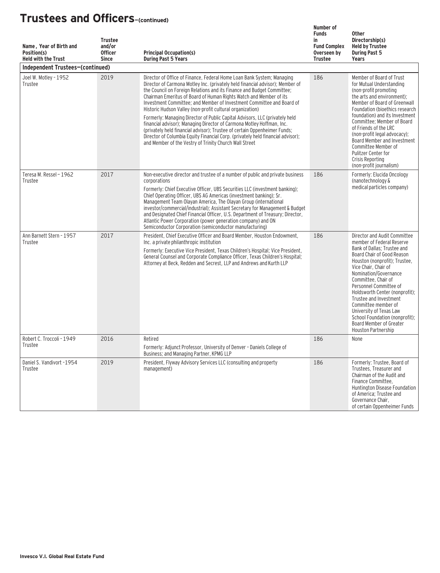| Name, Year of Birth and<br>Position(s)<br><b>Held with the Trust</b> | <b>Trustee</b><br>and/or<br><b>Officer</b><br><b>Since</b> | <b>Principal Occupation(s)</b><br><b>During Past 5 Years</b>                                                                                                                                                                                                                                                                                                                                                                                                                                                                                                                                                                                                                                                                                                                                                                    | Number of<br><b>Funds</b><br>in<br><b>Fund Complex</b><br>Overseen by<br><b>Trustee</b> | <b>Other</b><br>Directorship(s)<br><b>Held by Trustee</b><br><b>During Past 5</b><br>Years                                                                                                                                                                                                                                                                                                                                                                  |
|----------------------------------------------------------------------|------------------------------------------------------------|---------------------------------------------------------------------------------------------------------------------------------------------------------------------------------------------------------------------------------------------------------------------------------------------------------------------------------------------------------------------------------------------------------------------------------------------------------------------------------------------------------------------------------------------------------------------------------------------------------------------------------------------------------------------------------------------------------------------------------------------------------------------------------------------------------------------------------|-----------------------------------------------------------------------------------------|-------------------------------------------------------------------------------------------------------------------------------------------------------------------------------------------------------------------------------------------------------------------------------------------------------------------------------------------------------------------------------------------------------------------------------------------------------------|
| Independent Trustees-(continued)                                     |                                                            |                                                                                                                                                                                                                                                                                                                                                                                                                                                                                                                                                                                                                                                                                                                                                                                                                                 |                                                                                         |                                                                                                                                                                                                                                                                                                                                                                                                                                                             |
| Joel W. Motley - 1952<br>Trustee                                     | 2019                                                       | Director of Office of Finance, Federal Home Loan Bank System; Managing<br>Director of Carmona Motley Inc. (privately held financial advisor); Member of<br>the Council on Foreign Relations and its Finance and Budget Committee;<br>Chairman Emeritus of Board of Human Rights Watch and Member of its<br>Investment Committee; and Member of Investment Committee and Board of<br>Historic Hudson Valley (non-profit cultural organization)<br>Formerly: Managing Director of Public Capital Advisors, LLC (privately held<br>financial advisor); Managing Director of Carmona Motley Hoffman, Inc.<br>(privately held financial advisor); Trustee of certain Oppenheimer Funds;<br>Director of Columbia Equity Financial Corp. (privately held financial advisor);<br>and Member of the Vestry of Trinity Church Wall Street | 186                                                                                     | Member of Board of Trust<br>for Mutual Understanding<br>(non-profit promoting<br>the arts and environment);<br>Member of Board of Greenwall<br>Foundation (bioethics research<br>foundation) and its Investment<br>Committee; Member of Board<br>of Friends of the LRC<br>(non-profit legal advocacy);<br>Board Member and Investment<br>Committee Member of<br>Pulitzer Center for<br>Crisis Reporting<br>(non-profit journalism)                          |
| Teresa M. Ressel - 1962<br>Trustee                                   | 2017                                                       | Non-executive director and trustee of a number of public and private business<br>corporations<br>Formerly: Chief Executive Officer. UBS Securities LLC (investment banking):<br>Chief Operating Officer, UBS AG Americas (investment banking); Sr.<br>Management Team Olayan America, The Olayan Group (international<br>investor/commercial/industrial); Assistant Secretary for Management & Budget<br>and Designated Chief Financial Officer, U.S. Department of Treasury; Director,<br>Atlantic Power Corporation (power generation company) and ON<br>Semiconductor Corporation (semiconductor manufacturing)                                                                                                                                                                                                              | 186                                                                                     | Formerly: Elucida Oncology<br>(nanotechnology &<br>medical particles company)                                                                                                                                                                                                                                                                                                                                                                               |
| Ann Barnett Stern - 1957<br>Trustee                                  | 2017                                                       | President, Chief Executive Officer and Board Member, Houston Endowment.<br>Inc. a private philanthropic institution<br>Formerly: Executive Vice President, Texas Children's Hospital; Vice President,<br>General Counsel and Corporate Compliance Officer, Texas Children's Hospital;<br>Attorney at Beck, Redden and Secrest, LLP and Andrews and Kurth LLP                                                                                                                                                                                                                                                                                                                                                                                                                                                                    | 186                                                                                     | Director and Audit Committee<br>member of Federal Reserve<br>Bank of Dallas; Trustee and<br>Board Chair of Good Reason<br>Houston (nonprofit); Trustee,<br>Vice Chair, Chair of<br>Nomination/Governance<br>Committee, Chair of<br>Personnel Committee of<br>Holdsworth Center (nonprofit);<br>Trustee and Investment<br>Committee member of<br>University of Texas Law<br>School Foundation (nonprofit):<br>Board Member of Greater<br>Houston Partnership |
| Robert C. Troccoli - 1949<br>Trustee                                 | 2016                                                       | Retired<br>Formerly: Adjunct Professor, University of Denver - Daniels College of<br>Business; and Managing Partner, KPMG LLP                                                                                                                                                                                                                                                                                                                                                                                                                                                                                                                                                                                                                                                                                                   | 186                                                                                     | None                                                                                                                                                                                                                                                                                                                                                                                                                                                        |
| Daniel S. Vandivort -1954<br>Trustee                                 | 2019                                                       | President, Flyway Advisory Services LLC (consulting and property<br>management)                                                                                                                                                                                                                                                                                                                                                                                                                                                                                                                                                                                                                                                                                                                                                 | 186                                                                                     | Formerly: Trustee, Board of<br>Trustees, Treasurer and<br>Chairman of the Audit and<br>Finance Committee.<br>Huntington Disease Foundation<br>of America; Trustee and<br>Governance Chair,<br>of certain Oppenheimer Funds                                                                                                                                                                                                                                  |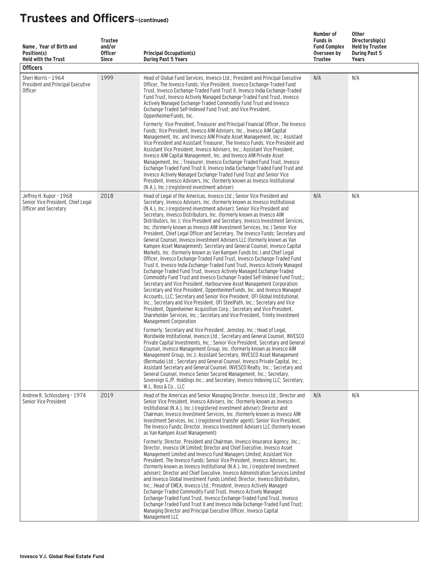| Name, Year of Birth and<br>Position(s)<br><b>Held with the Trust</b><br><b>Officers</b> | <b>Trustee</b><br>and/or<br><b>Officer</b><br><b>Since</b> | <b>Principal Occupation(s)</b><br><b>During Past 5 Years</b>                                                                                                                                                                                                                                                                                                                                                                                                                                                                                                                                                                                                                                                                                                                                                                                                                                                                                                                                                                                                                                                                                                                                                                                                                                                                                                                                                                                                                                                                                                                                                                 | Number of<br><b>Funds in</b><br><b>Fund Complex</b><br>Overseen by<br><b>Trustee</b> | Other<br>Directorship(s)<br><b>Held by Trustee</b><br><b>During Past 5</b><br>Years |
|-----------------------------------------------------------------------------------------|------------------------------------------------------------|------------------------------------------------------------------------------------------------------------------------------------------------------------------------------------------------------------------------------------------------------------------------------------------------------------------------------------------------------------------------------------------------------------------------------------------------------------------------------------------------------------------------------------------------------------------------------------------------------------------------------------------------------------------------------------------------------------------------------------------------------------------------------------------------------------------------------------------------------------------------------------------------------------------------------------------------------------------------------------------------------------------------------------------------------------------------------------------------------------------------------------------------------------------------------------------------------------------------------------------------------------------------------------------------------------------------------------------------------------------------------------------------------------------------------------------------------------------------------------------------------------------------------------------------------------------------------------------------------------------------------|--------------------------------------------------------------------------------------|-------------------------------------------------------------------------------------|
| Sheri Morris - 1964<br>President and Principal Executive<br><b>Officer</b>              | 1999                                                       | Head of Global Fund Services, Invesco Ltd.; President and Principal Executive<br>Officer, The Invesco Funds; Vice President, Invesco Exchange-Traded Fund<br>Trust, Invesco Exchange-Traded Fund Trust II, Invesco India Exchange-Traded<br>Fund Trust, Invesco Actively Managed Exchange-Traded Fund Trust, Invesco<br>Actively Managed Exchange-Traded Commodity Fund Trust and Invesco<br>Exchange-Traded Self-Indexed Fund Trust; and Vice President,<br>OppenheimerFunds, Inc.<br>Formerly: Vice President, Treasurer and Principal Financial Officer, The Invesco<br>Funds; Vice President, Invesco AIM Advisers, Inc., Invesco AIM Capital<br>Management, Inc. and Invesco AIM Private Asset Management, Inc.; Assistant<br>Vice President and Assistant Treasurer, The Invesco Funds; Vice President and<br>Assistant Vice President, Invesco Advisers, Inc.; Assistant Vice President,<br>Invesco AIM Capital Management, Inc. and Invesco AIM Private Asset<br>Management, Inc.; Treasurer, Invesco Exchange-Traded Fund Trust, Invesco<br>Exchange-Traded Fund Trust II, Invesco India Exchange-Traded Fund Trust and<br>Invesco Actively Managed Exchange-Traded Fund Trust and Senior Vice<br>President, Invesco Advisers, Inc. (formerly known as Invesco Institutional<br>(N.A.), Inc.) (registered investment adviser)                                                                                                                                                                                                                                                                                       | N/A                                                                                  | N/A                                                                                 |
| Jeffrey H. Kupor - 1968<br>Senior Vice President, Chief Legal<br>Officer and Secretary  | 2018                                                       | Head of Legal of the Americas, Invesco Ltd.; Senior Vice President and<br>Secretary, Invesco Advisers, Inc. (formerly known as Invesco Institutional<br>(N.A.), Inc.) (registered investment adviser); Senior Vice President and<br>Secretary, Invesco Distributors, Inc. (formerly known as Invesco AIM<br>Distributors, Inc.); Vice President and Secretary, Invesco Investment Services,<br>Inc. (formerly known as Invesco AIM Investment Services, Inc.) Senior Vice<br>President, Chief Legal Officer and Secretary, The Invesco Funds; Secretary and<br>General Counsel, Invesco Investment Advisers LLC (formerly known as Van<br>Kampen Asset Management); Secretary and General Counsel, Invesco Capital<br>Markets, Inc. (formerly known as Van Kampen Funds Inc.) and Chief Legal<br>Officer, Invesco Exchange-Traded Fund Trust, Invesco Exchange-Traded Fund<br>Trust II, Invesco India Exchange-Traded Fund Trust, Invesco Actively Managed<br>Exchange-Traded Fund Trust, Invesco Actively Managed Exchange-Traded<br>Commodity Fund Trust and Invesco Exchange-Traded Self-Indexed Fund Trust;;<br>Secretary and Vice President, Harbourview Asset Management Corporation;<br>Secretary and Vice President, OppenheimerFunds, Inc. and Invesco Managed<br>Accounts, LLC; Secretary and Senior Vice President, OFI Global Institutional,<br>Inc.; Secretary and Vice President, OFI SteelPath, Inc.; Secretary and Vice<br>President, Oppenheimer Acquisition Corp.; Secretary and Vice President,<br>Shareholder Services, Inc.; Secretary and Vice President, Trinity Investment<br>Management Corporation | N/A                                                                                  | N/A                                                                                 |
|                                                                                         |                                                            | Formerly: Secretary and Vice President, Jemstep, Inc.; Head of Legal,<br>Worldwide Institutional, Invesco Ltd.; Secretary and General Counsel, INVESCO<br>Private Capital Investments, Inc.; Senior Vice President, Secretary and General<br>Counsel, Invesco Management Group, Inc. (formerly known as Invesco AIM<br>Management Group, Inc.); Assistant Secretary, INVESCO Asset Management<br>(Bermuda) Ltd.; Secretary and General Counsel, Invesco Private Capital, Inc.;<br>Assistant Secretary and General Counsel, INVESCO Realty, Inc.; Secretary and<br>General Counsel, Invesco Senior Secured Management, Inc.; Secretary,<br>Sovereign G./P. Holdings Inc.; and Secretary, Invesco Indexing LLC; Secretary,<br>W.L. Ross & Co., LLC                                                                                                                                                                                                                                                                                                                                                                                                                                                                                                                                                                                                                                                                                                                                                                                                                                                                             |                                                                                      |                                                                                     |
| Andrew R. Schlossberg - 1974<br>Senior Vice President                                   | 2019                                                       | Head of the Americas and Senior Managing Director, Invesco Ltd.; Director and<br>Senior Vice President, Invesco Advisers, Inc. (formerly known as Invesco<br>Institutional (N.A.), Inc.) (registered investment adviser); Director and<br>Chairman, Invesco Investment Services, Inc. (formerly known as Invesco AIM<br>Investment Services, Inc.) (registered transfer agent); Senior Vice President,<br>The Invesco Funds; Director, Invesco Investment Advisers LLC (formerly known<br>as Van Kampen Asset Management)<br>Formerly: Director, President and Chairman, Invesco Insurance Agency, Inc.:<br>Director, Invesco UK Limited; Director and Chief Executive, Invesco Asset<br>Management Limited and Invesco Fund Managers Limited; Assistant Vice<br>President, The Invesco Funds; Senior Vice President, Invesco Advisers, Inc.<br>(formerly known as Invesco Institutional (N.A.), Inc.) (registered investment<br>adviser); Director and Chief Executive, Invesco Administration Services Limited<br>and Invesco Global Investment Funds Limited: Director, Invesco Distributors,<br>Inc.; Head of EMEA, Invesco Ltd.; President, Invesco Actively Managed<br>Exchange-Traded Commodity Fund Trust, Invesco Actively Managed<br>Exchange-Traded Fund Trust, Invesco Exchange-Traded Fund Trust, Invesco<br>Exchange-Traded Fund Trust II and Invesco India Exchange-Traded Fund Trust;<br>Managing Director and Principal Executive Officer, Invesco Capital<br>Management LLC                                                                                                                                | N/A                                                                                  | N/A                                                                                 |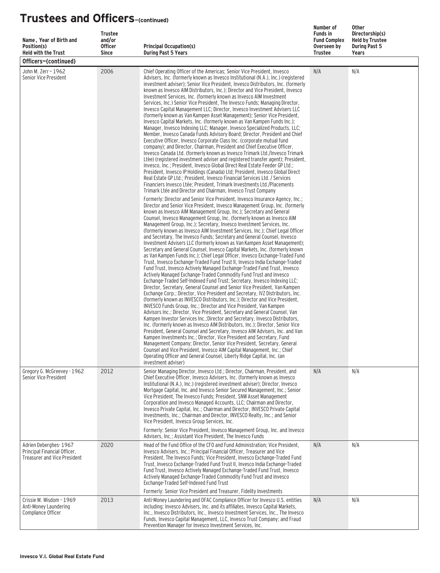| Name, Year of Birth and<br>Position(s)                                                       | <b>Trustee</b><br>and/or<br><b>Officer</b> | <b>Principal Occupation(s)</b>                                                                                                                                                                                                                                                                                                                                                                                                                                                                                                                                                                                                                                                                                                                                                                                                                                                                                                                                                                                                                                                                                                                                                                                                                                                                                                                                                                                                                                                                                                                                                                                                                                                                                                                                                                                                                                                                                                                                                                                                                                                                        | Number of<br><b>Funds in</b><br><b>Fund Complex</b><br>Overseen by<br><b>Trustee</b> | <b>Other</b><br>Directorship(s)<br><b>Held by Trustee</b><br><b>During Past 5</b><br>Years |
|----------------------------------------------------------------------------------------------|--------------------------------------------|-------------------------------------------------------------------------------------------------------------------------------------------------------------------------------------------------------------------------------------------------------------------------------------------------------------------------------------------------------------------------------------------------------------------------------------------------------------------------------------------------------------------------------------------------------------------------------------------------------------------------------------------------------------------------------------------------------------------------------------------------------------------------------------------------------------------------------------------------------------------------------------------------------------------------------------------------------------------------------------------------------------------------------------------------------------------------------------------------------------------------------------------------------------------------------------------------------------------------------------------------------------------------------------------------------------------------------------------------------------------------------------------------------------------------------------------------------------------------------------------------------------------------------------------------------------------------------------------------------------------------------------------------------------------------------------------------------------------------------------------------------------------------------------------------------------------------------------------------------------------------------------------------------------------------------------------------------------------------------------------------------------------------------------------------------------------------------------------------------|--------------------------------------------------------------------------------------|--------------------------------------------------------------------------------------------|
| <b>Held with the Trust</b><br>Officers-(continued)                                           | <b>Since</b>                               | <b>During Past 5 Years</b>                                                                                                                                                                                                                                                                                                                                                                                                                                                                                                                                                                                                                                                                                                                                                                                                                                                                                                                                                                                                                                                                                                                                                                                                                                                                                                                                                                                                                                                                                                                                                                                                                                                                                                                                                                                                                                                                                                                                                                                                                                                                            |                                                                                      |                                                                                            |
| John M. Zerr - 1962<br>Senior Vice President                                                 | 2006                                       | Chief Operating Officer of the Americas; Senior Vice President, Invesco<br>Advisers, Inc. (formerly known as Invesco Institutional (N.A.), Inc.) (registered<br>investment adviser); Senior Vice President, Invesco Distributors, Inc. (formerly<br>known as Invesco AIM Distributors, Inc.); Director and Vice President, Invesco<br>Investment Services, Inc. (formerly known as Invesco AIM Investment<br>Services, Inc.) Senior Vice President, The Invesco Funds; Managing Director,<br>Invesco Capital Management LLC; Director, Invesco Investment Advisers LLC<br>(formerly known as Van Kampen Asset Management); Senior Vice President,<br>Invesco Capital Markets, Inc. (formerly known as Van Kampen Funds Inc.);<br>Manager, Invesco Indexing LLC; Manager, Invesco Specialized Products, LLC;<br>Member, Invesco Canada Funds Advisory Board; Director, President and Chief<br>Executive Officer, Invesco Corporate Class Inc. (corporate mutual fund<br>company); and Director, Chairman, President and Chief Executive Officer,<br>Invesco Canada Ltd. (formerly known as Invesco Trimark Ltd./Invesco Trimark<br>Ltèe) (registered investment adviser and registered transfer agent); President,<br>Invesco, Inc.; President, Invesco Global Direct Real Estate Feeder GP Ltd.;<br>President, Invesco IP Holdings (Canada) Ltd; President, Invesco Global Direct<br>Real Estate GP Ltd.; President, Invesco Financial Services Ltd. / Services<br>Financiers Invesco Ltée; President, Trimark Investments Ltd./Placements<br>Trimark Ltée and Director and Chairman, Invesco Trust Company                                                                                                                                                                                                                                                                                                                                                                                                                                                                                           | N/A                                                                                  | N/A                                                                                        |
|                                                                                              |                                            | Formerly: Director and Senior Vice President, Invesco Insurance Agency, Inc.;<br>Director and Senior Vice President, Invesco Management Group, Inc. (formerly<br>known as Invesco AIM Management Group, Inc.); Secretary and General<br>Counsel, Invesco Management Group, Inc. (formerly known as Invesco AIM<br>Management Group, Inc.); Secretary, Invesco Investment Services, Inc.<br>(formerly known as Invesco AIM Investment Services, Inc.); Chief Legal Officer<br>and Secretary, The Invesco Funds; Secretary and General Counsel, Invesco<br>Investment Advisers LLC (formerly known as Van Kampen Asset Management);<br>Secretary and General Counsel, Invesco Capital Markets, Inc. (formerly known<br>as Van Kampen Funds Inc.); Chief Legal Officer, Invesco Exchange-Traded Fund<br>Trust, Invesco Exchange-Traded Fund Trust II, Invesco India Exchange-Traded<br>Fund Trust, Invesco Actively Managed Exchange-Traded Fund Trust, Invesco<br>Actively Managed Exchange-Traded Commodity Fund Trust and Invesco<br>Exchange-Traded Self-Indexed Fund Trust; Secretary, Invesco Indexing LLC;<br>Director, Secretary, General Counsel and Senior Vice President, Van Kampen<br>Exchange Corp.; Director, Vice President and Secretary, IVZ Distributors, Inc.<br>(formerly known as INVESCO Distributors, Inc.); Director and Vice President,<br>INVESCO Funds Group, Inc.; Director and Vice President, Van Kampen<br>Advisors Inc.; Director, Vice President, Secretary and General Counsel, Van<br>Kampen Investor Services Inc.: Director and Secretary, Invesco Distributors,<br>Inc. (formerly known as Invesco AIM Distributors, Inc.); Director, Senior Vice<br>President, General Counsel and Secretary, Invesco AIM Advisers, Inc. and Van<br>Kampen Investments Inc.; Director, Vice President and Secretary, Fund<br>Management Company; Director, Senior Vice President, Secretary, General<br>Counsel and Vice President, Invesco AIM Capital Management, Inc.; Chief<br>Operating Officer and General Counsel, Liberty Ridge Capital, Inc. (an<br>investment adviser) |                                                                                      |                                                                                            |
| Gregory G. McGreevey - 1962<br>Senior Vice President                                         | 2012                                       | Senior Managing Director, Invesco Ltd.; Director, Chairman, President, and<br>Chief Executive Officer, Invesco Advisers, Inc. (formerly known as Invesco<br>Institutional (N.A.), Inc.) (registered investment adviser); Director, Invesco<br>Mortgage Capital, Inc. and Invesco Senior Secured Management, Inc.; Senior<br>Vice President, The Invesco Funds; President, SNW Asset Management<br>Corporation and Invesco Managed Accounts, LLC; Chairman and Director,<br>Invesco Private Capital, Inc.; Chairman and Director, INVESCO Private Capital<br>Investments, Inc.; Chairman and Director, INVESCO Realty, Inc.; and Senior<br>Vice President, Invesco Group Services, Inc.<br>Formerly: Senior Vice President, Invesco Management Group, Inc. and Invesco                                                                                                                                                                                                                                                                                                                                                                                                                                                                                                                                                                                                                                                                                                                                                                                                                                                                                                                                                                                                                                                                                                                                                                                                                                                                                                                                 | N/A                                                                                  | N/A                                                                                        |
|                                                                                              |                                            | Advisers, Inc.; Assistant Vice President, The Invesco Funds                                                                                                                                                                                                                                                                                                                                                                                                                                                                                                                                                                                                                                                                                                                                                                                                                                                                                                                                                                                                                                                                                                                                                                                                                                                                                                                                                                                                                                                                                                                                                                                                                                                                                                                                                                                                                                                                                                                                                                                                                                           |                                                                                      |                                                                                            |
| Adrien Deberghes-1967<br>Principal Financial Officer,<br><b>Treasurer and Vice President</b> | 2020                                       | Head of the Fund Office of the CFO and Fund Administration: Vice President.<br>Invesco Advisers, Inc.; Principal Financial Officer, Treasurer and Vice<br>President, The Invesco Funds; Vice President, Invesco Exchange-Traded Fund<br>Trust, Invesco Exchange-Traded Fund Trust II, Invesco India Exchange-Traded<br>Fund Trust, Invesco Actively Managed Exchange-Traded Fund Trust, Invesco<br>Actively Managed Exchange-Traded Commodity Fund Trust and Invesco<br>Exchange-Traded Self-Indexed Fund Trust<br>Formerly: Senior Vice President and Treasurer, Fidelity Investments                                                                                                                                                                                                                                                                                                                                                                                                                                                                                                                                                                                                                                                                                                                                                                                                                                                                                                                                                                                                                                                                                                                                                                                                                                                                                                                                                                                                                                                                                                                | N/A                                                                                  | N/A                                                                                        |
| Crissie M. Wisdom - 1969<br>Anti-Money Laundering<br>Compliance Officer                      | 2013                                       | Anti-Money Laundering and OFAC Compliance Officer for Invesco U.S. entities<br>including: Invesco Advisers, Inc. and its affiliates, Invesco Capital Markets,<br>Inc., Invesco Distributors, Inc., Invesco Investment Services, Inc., The Invesco<br>Funds, Invesco Capital Management, LLC, Invesco Trust Company; and Fraud<br>Prevention Manager for Invesco Investment Services, Inc.                                                                                                                                                                                                                                                                                                                                                                                                                                                                                                                                                                                                                                                                                                                                                                                                                                                                                                                                                                                                                                                                                                                                                                                                                                                                                                                                                                                                                                                                                                                                                                                                                                                                                                             | N/A                                                                                  | N/A                                                                                        |